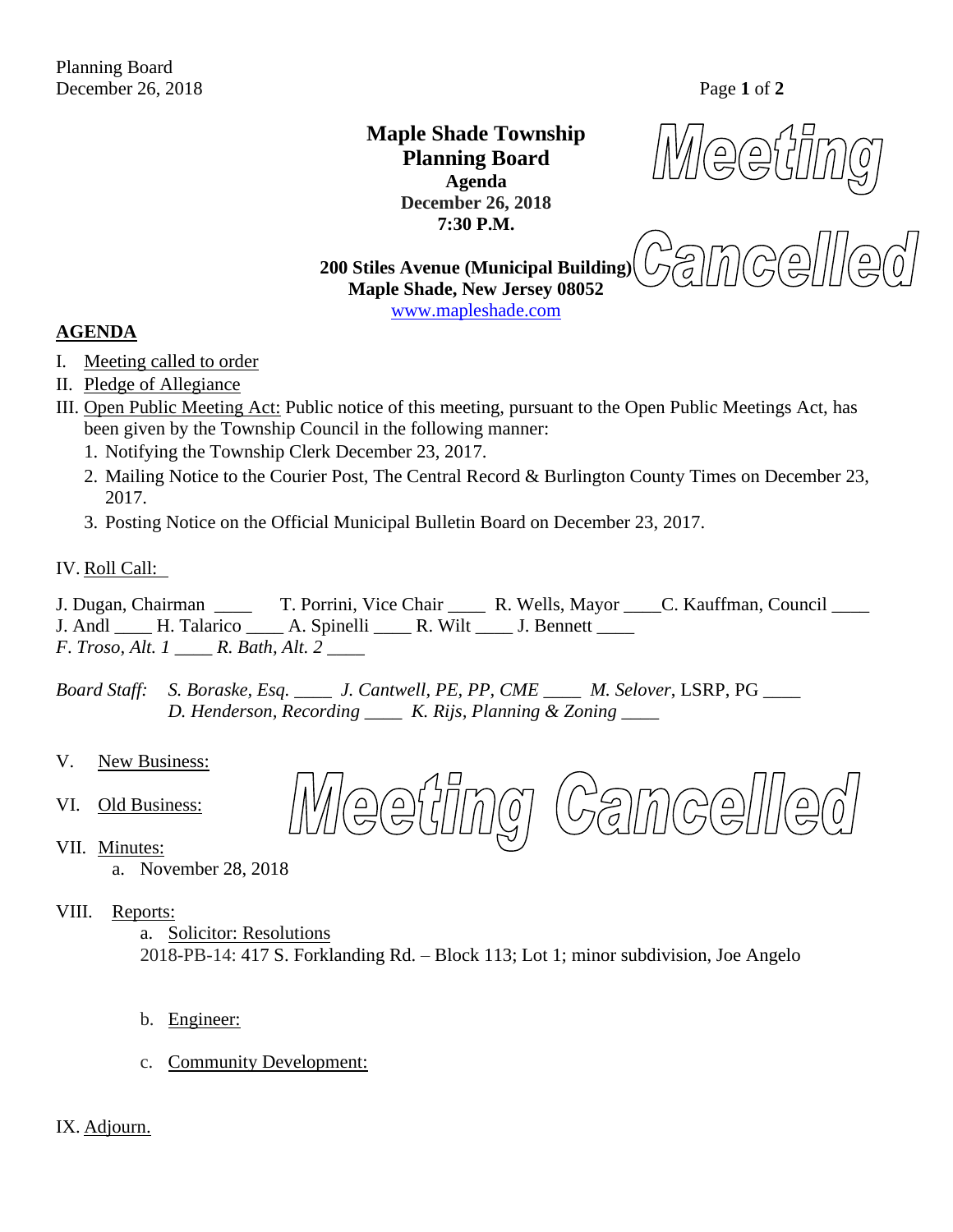**Maple Shade Township Planning Board Agenda December 26, 2018 7:30 P.M.**

 $\bigoplus$ 

 $\approx 50$ **200 Stiles Avenue (Municipal Building) Maple Shade, New Jersey 08052** [www.mapleshade.com](http://www.mapleshade.com/)

## **AGENDA**

- I. Meeting called to order
- II. Pledge of Allegiance
- III. Open Public Meeting Act: Public notice of this meeting, pursuant to the Open Public Meetings Act, has been given by the Township Council in the following manner:
	- 1. Notifying the Township Clerk December 23, 2017.
	- 2. Mailing Notice to the Courier Post, The Central Record & Burlington County Times on December 23, 2017.
	- 3. Posting Notice on the Official Municipal Bulletin Board on December 23, 2017.

#### IV. Roll Call:

J. Dugan, Chairman \_\_\_\_ T. Porrini, Vice Chair \_\_\_\_ R. Wells, Mayor \_\_\_\_C. Kauffman, Council \_\_\_\_ J. Andl H. Talarico A. Spinelli R. Wilt J. Bennett *F*. *Troso, Alt. 1 \_\_\_\_ R. Bath, Alt. 2 \_\_\_\_*

*Board Staff: S. Boraske, Esq. \_\_\_\_ J. Cantwell, PE, PP, CME \_\_\_\_ M. Selover*, LSRP, PG *\_\_\_\_ D. Henderson, Recording \_\_\_\_ K. Rijs, Planning & Zoning \_\_\_\_*

- V. New Business:
- VI. Old Business:
- **estimo** Camcell  $\bigodot$
- VII. Minutes:
	- a. November 28, 2018
- VIII. Reports:
	- a. Solicitor: Resolutions

2018-PB-14: 417 S. Forklanding Rd. – Block 113; Lot 1; minor subdivision, Joe Angelo

- b. Engineer:
- c. Community Development:

#### IX. Adjourn.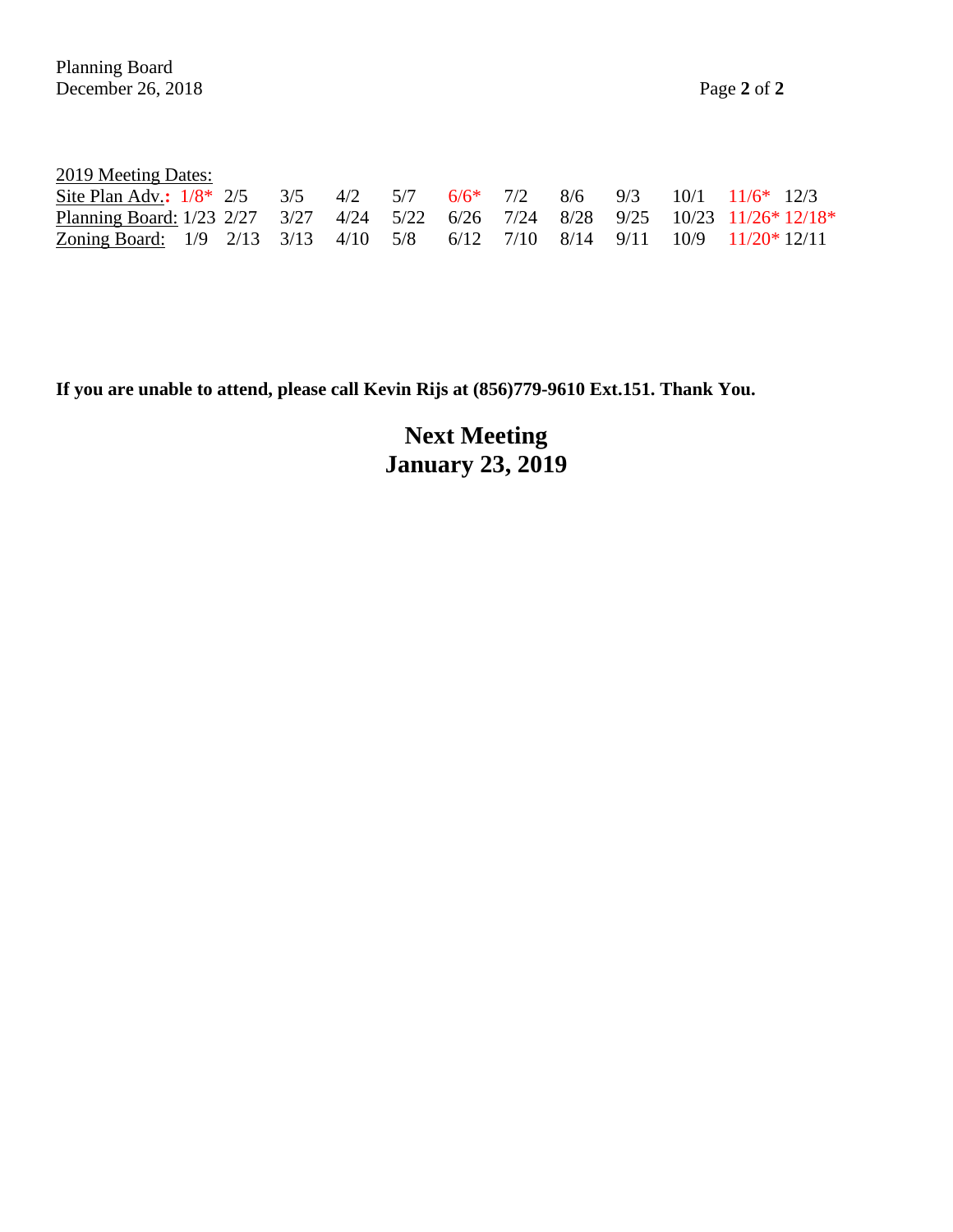| 2019 Meeting Dates: |  |
|---------------------|--|
|                     |  |

| Site Plan Adv.: $1/8$ * 2/5 3/5 4/2 5/7 6/6 * 7/2 8/6 9/3 10/1 11/6 * 12/3       |  |  |  |  |  |  |
|----------------------------------------------------------------------------------|--|--|--|--|--|--|
| Planning Board: 1/23 2/27 3/27 4/24 5/22 6/26 7/24 8/28 9/25 10/23 11/26* 12/18* |  |  |  |  |  |  |
| Zoning Board: 1/9 2/13 3/13 4/10 5/8 6/12 7/10 8/14 9/11 10/9 11/20*12/11        |  |  |  |  |  |  |

**If you are unable to attend, please call Kevin Rijs at (856)779-9610 Ext.151. Thank You.**

**Next Meeting January 23, 2019**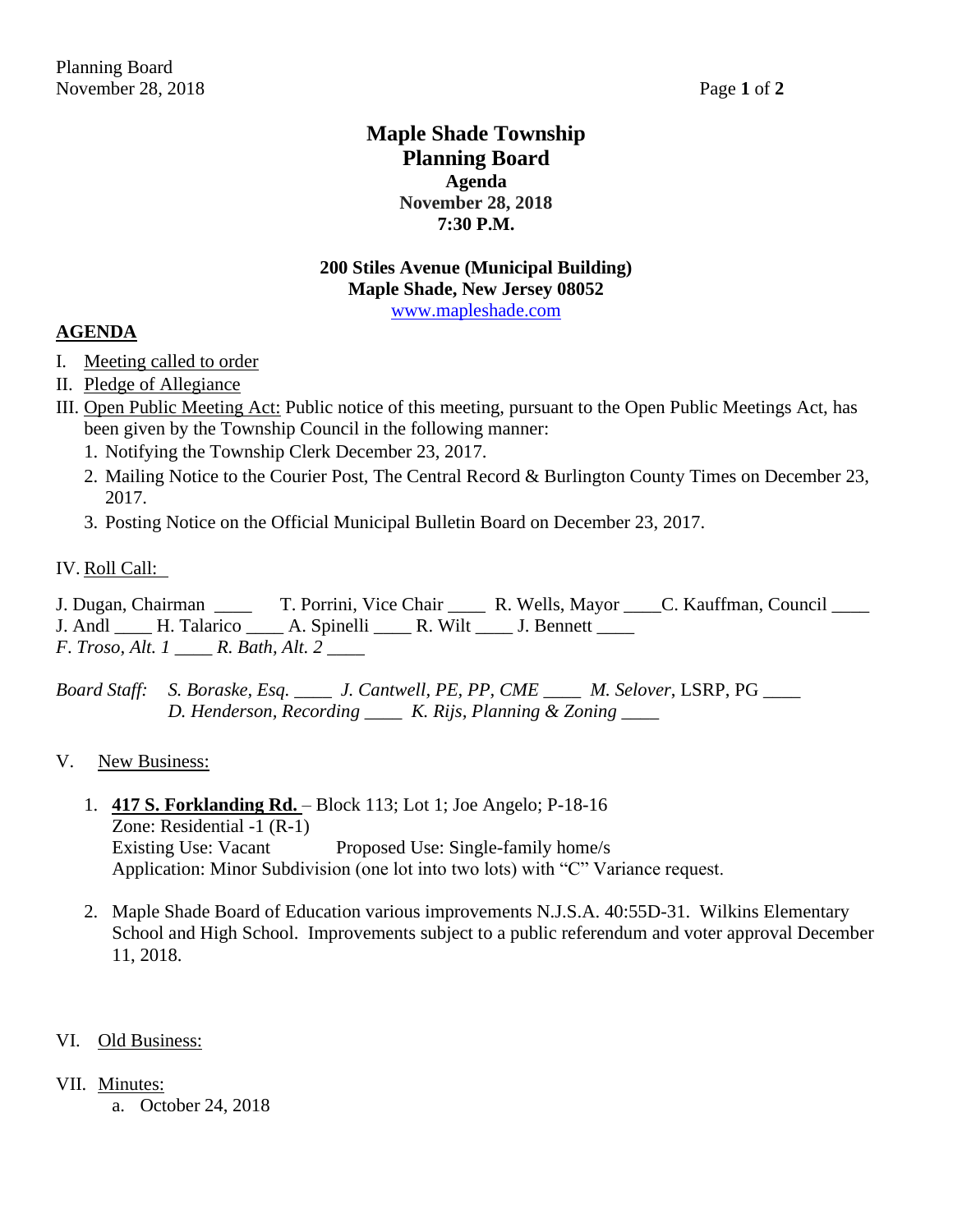## **Maple Shade Township Planning Board Agenda November 28, 2018 7:30 P.M.**

## **200 Stiles Avenue (Municipal Building) Maple Shade, New Jersey 08052** [www.mapleshade.com](http://www.mapleshade.com/)

## **AGENDA**

- I. Meeting called to order
- II. Pledge of Allegiance
- III. Open Public Meeting Act: Public notice of this meeting, pursuant to the Open Public Meetings Act, has been given by the Township Council in the following manner:
	- 1. Notifying the Township Clerk December 23, 2017.
	- 2. Mailing Notice to the Courier Post, The Central Record & Burlington County Times on December 23, 2017.
	- 3. Posting Notice on the Official Municipal Bulletin Board on December 23, 2017.

## IV. Roll Call:

J. Dugan, Chairman \_\_\_\_ T. Porrini, Vice Chair \_\_\_\_ R. Wells, Mayor \_\_\_\_C. Kauffman, Council \_\_\_\_ J. Andl H. Talarico A. Spinelli R. Wilt J. Bennett *F*. *Troso, Alt. 1 \_\_\_\_ R. Bath, Alt. 2 \_\_\_\_*

*Board Staff: S. Boraske, Esq. \_\_\_\_ J. Cantwell, PE, PP, CME \_\_\_\_ M. Selover*, LSRP, PG *\_\_\_\_ D. Henderson, Recording \_\_\_\_ K. Rijs, Planning & Zoning \_\_\_\_*

## V. New Business:

- 1. **417 S. Forklanding Rd.**  Block 113; Lot 1; Joe Angelo; P-18-16 Zone: Residential -1 (R-1) Existing Use: Vacant Proposed Use: Single-family home/s Application: Minor Subdivision (one lot into two lots) with "C" Variance request.
- 2. Maple Shade Board of Education various improvements N.J.S.A. 40:55D-31. Wilkins Elementary School and High School. Improvements subject to a public referendum and voter approval December 11, 2018.

## VI. Old Business:

- VII. Minutes:
	- a. October 24, 2018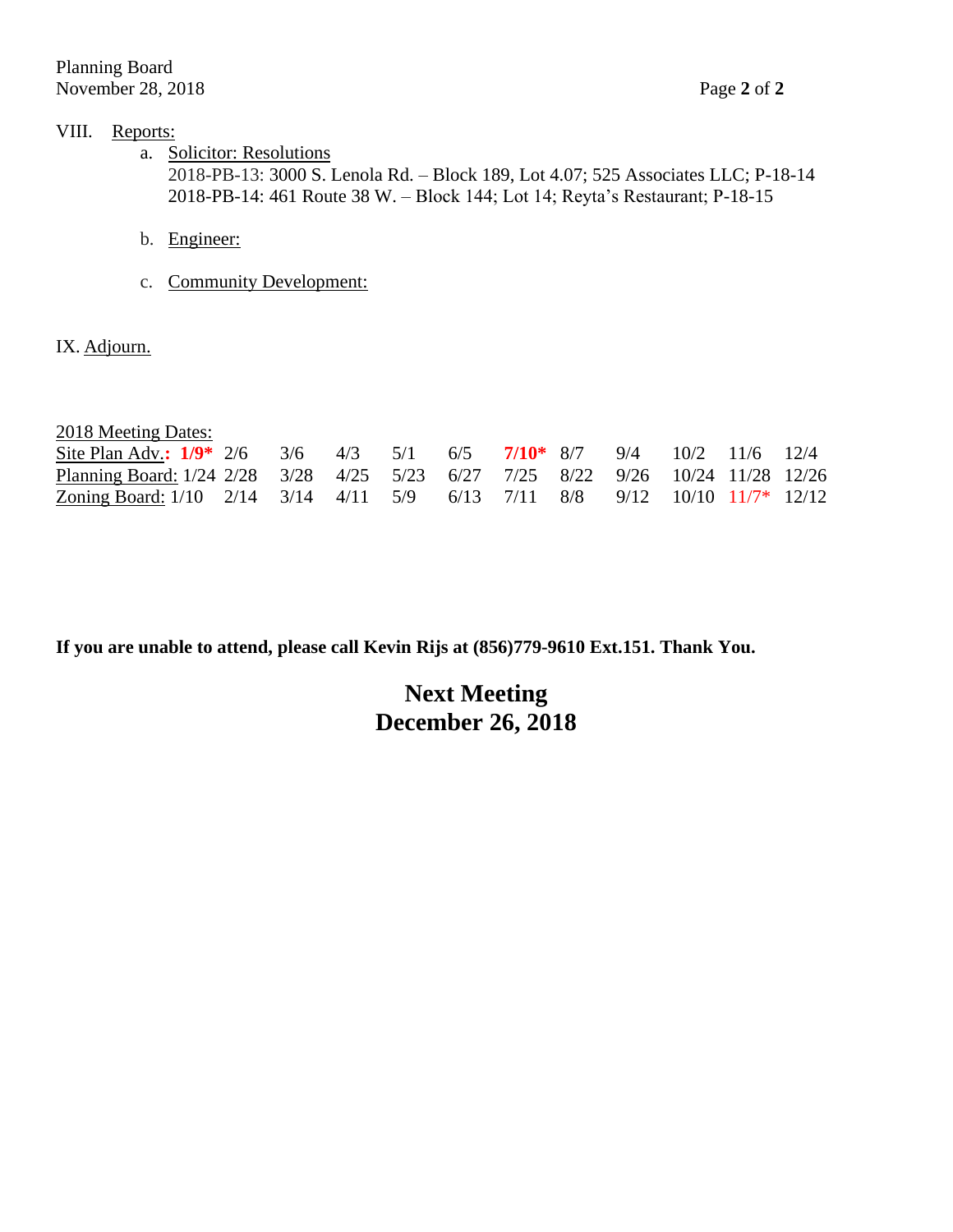## VIII. Reports:

- a. Solicitor: Resolutions 2018-PB-13: 3000 S. Lenola Rd. – Block 189, Lot 4.07; 525 Associates LLC; P-18-14 2018-PB-14: 461 Route 38 W. – Block 144; Lot 14; Reyta's Restaurant; P-18-15
- b. Engineer:
- c. Community Development:

IX. Adjourn.

2018 Meeting Dates:

| Site Plan Adv.: $1/9^*$ 2/6 3/6 4/3 5/1 6/5 7/10* 8/7 9/4 10/2 11/6 12/4                                                                                                                       |  |  |  |  |  |  |
|------------------------------------------------------------------------------------------------------------------------------------------------------------------------------------------------|--|--|--|--|--|--|
| Planning Board: 1/24 2/28 3/28 4/25 5/23 6/27 7/25 8/22 9/26 10/24 11/28 12/26                                                                                                                 |  |  |  |  |  |  |
| <u>Zoning Board:</u> 1/10 $\frac{2}{14}$ $\frac{3}{14}$ $\frac{4}{11}$ $\frac{5}{9}$ $\frac{6}{13}$ $\frac{7}{11}$ $\frac{8}{8}$ $\frac{9}{12}$ $\frac{10}{10}$ $\frac{11}{7}$ $\frac{12}{12}$ |  |  |  |  |  |  |

**If you are unable to attend, please call Kevin Rijs at (856)779-9610 Ext.151. Thank You.**

# **Next Meeting December 26, 2018**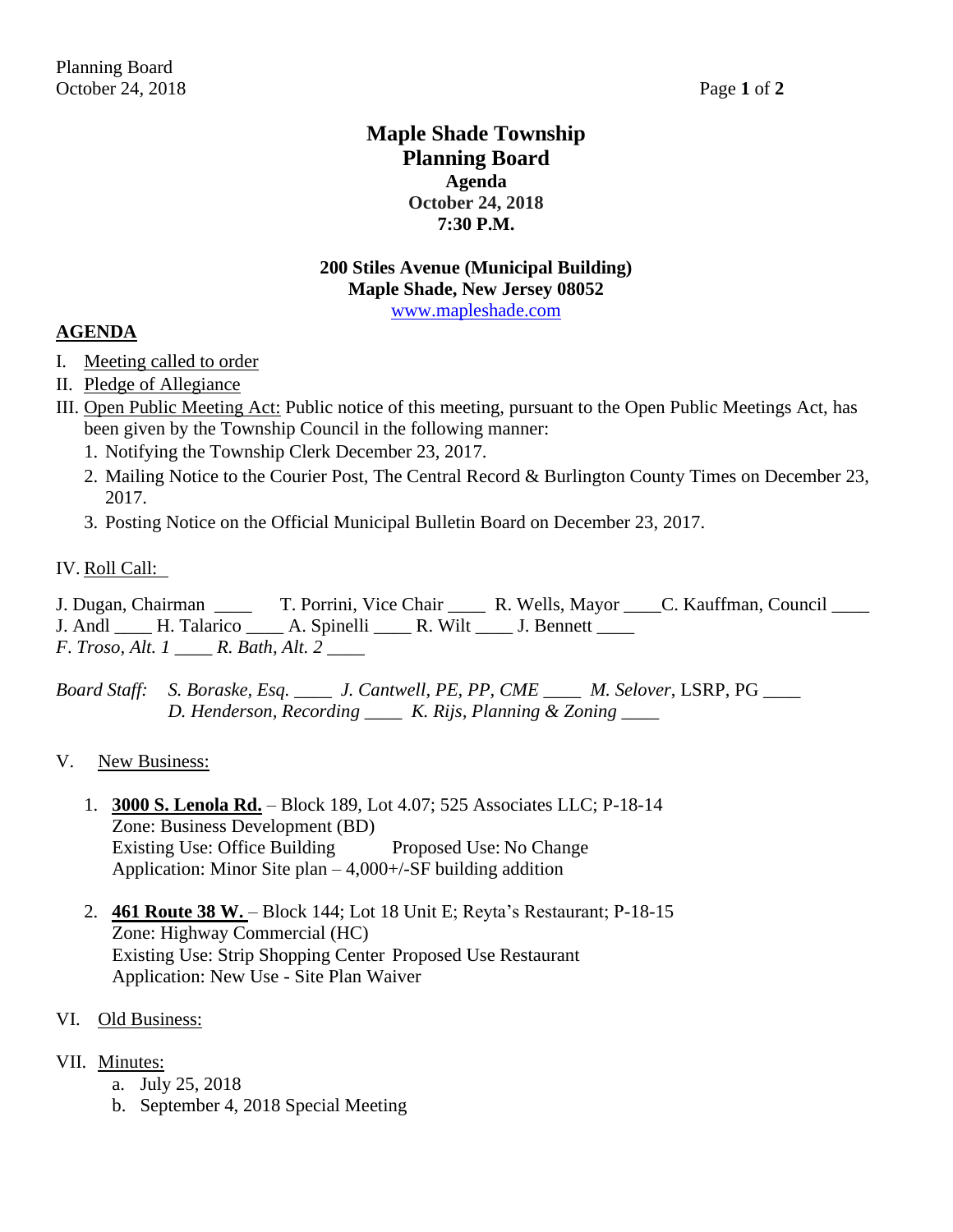## **Maple Shade Township Planning Board Agenda October 24, 2018 7:30 P.M.**

## **200 Stiles Avenue (Municipal Building) Maple Shade, New Jersey 08052** [www.mapleshade.com](http://www.mapleshade.com/)

## **AGENDA**

- I. Meeting called to order
- II. Pledge of Allegiance
- III. Open Public Meeting Act: Public notice of this meeting, pursuant to the Open Public Meetings Act, has been given by the Township Council in the following manner:
	- 1. Notifying the Township Clerk December 23, 2017.
	- 2. Mailing Notice to the Courier Post, The Central Record & Burlington County Times on December 23, 2017.
	- 3. Posting Notice on the Official Municipal Bulletin Board on December 23, 2017.

## IV. Roll Call:

J. Dugan, Chairman \_\_\_\_ T. Porrini, Vice Chair \_\_\_\_ R. Wells, Mayor \_\_\_\_C. Kauffman, Council \_\_\_\_ J. Andl H. Talarico A. Spinelli R. Wilt J. Bennett *F*. *Troso, Alt. 1 \_\_\_\_ R. Bath, Alt. 2 \_\_\_\_*

*Board Staff: S. Boraske, Esq. \_\_\_\_ J. Cantwell, PE, PP, CME \_\_\_\_ M. Selover*, LSRP, PG *\_\_\_\_ D. Henderson, Recording \_\_\_\_ K. Rijs, Planning & Zoning \_\_\_\_*

## V. New Business:

- 1. **3000 S. Lenola Rd.** Block 189, Lot 4.07; 525 Associates LLC; P-18-14 Zone: Business Development (BD) Existing Use: Office Building Proposed Use: No Change Application: Minor Site plan  $-4,000+\sqrt{-}$ SF building addition
- 2. **461 Route 38 W.**  Block 144; Lot 18 Unit E; Reyta's Restaurant; P-18-15 Zone: Highway Commercial (HC) Existing Use: Strip Shopping Center Proposed Use Restaurant Application: New Use - Site Plan Waiver

## VI. Old Business:

## VII. Minutes:

- a. July 25, 2018
- b. September 4, 2018 Special Meeting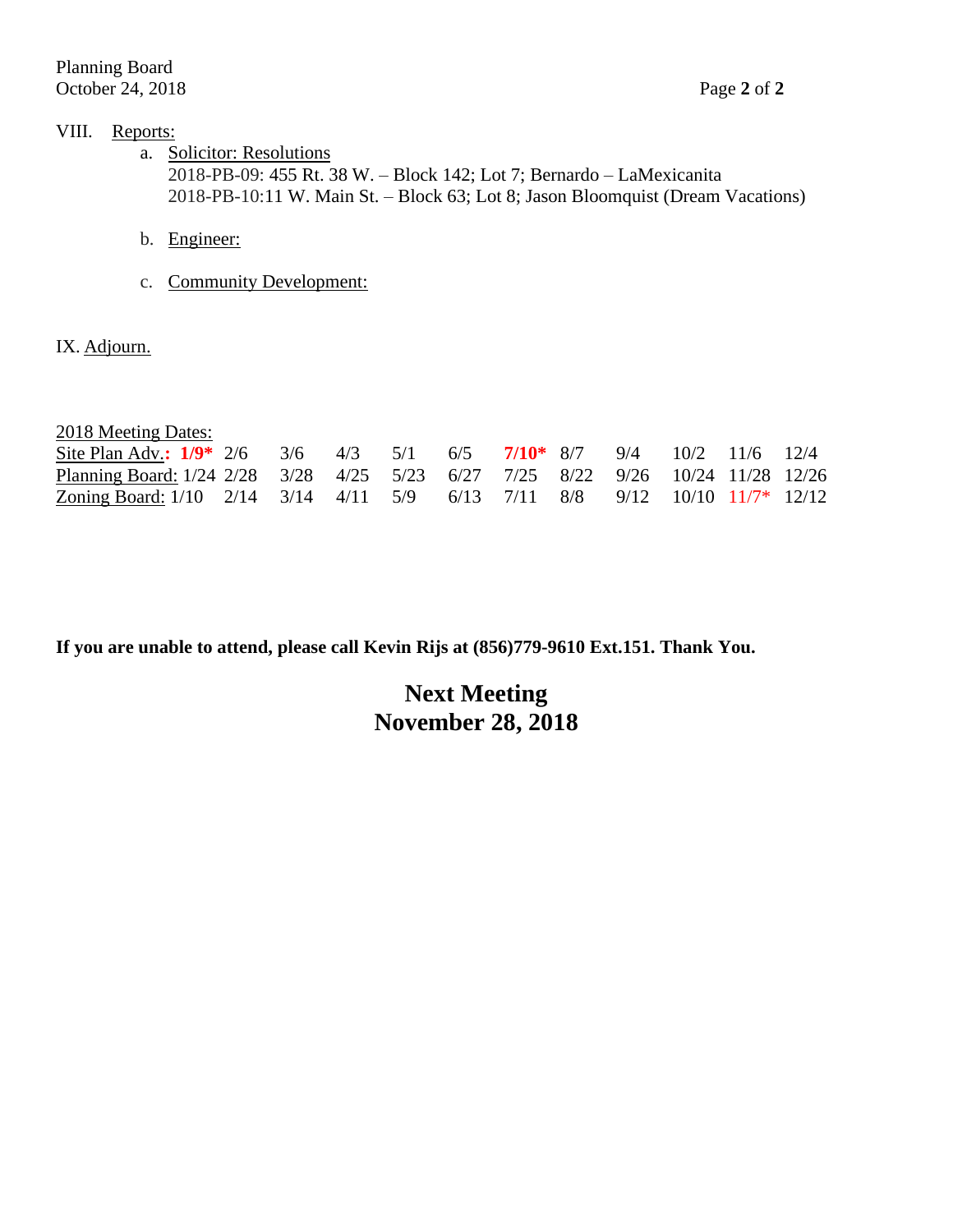## VIII. Reports:

- a. Solicitor: Resolutions 2018-PB-09: 455 Rt. 38 W. – Block 142; Lot 7; Bernardo – LaMexicanita 2018-PB-10:11 W. Main St. – Block 63; Lot 8; Jason Bloomquist (Dream Vacations)
- b. Engineer:
- c. Community Development:

IX. Adjourn.

2018 Meeting Dates:

| Site Plan Adv.: $1/9^*$ 2/6 3/6 4/3 5/1 6/5 7/10* 8/7 9/4 10/2 11/6 12/4                                                                                                                       |  |  |  |  |  |  |
|------------------------------------------------------------------------------------------------------------------------------------------------------------------------------------------------|--|--|--|--|--|--|
| Planning Board: 1/24 2/28 3/28 4/25 5/23 6/27 7/25 8/22 9/26 10/24 11/28 12/26                                                                                                                 |  |  |  |  |  |  |
| <u>Zoning Board:</u> 1/10 $\frac{2}{14}$ $\frac{3}{14}$ $\frac{4}{11}$ $\frac{5}{9}$ $\frac{6}{13}$ $\frac{7}{11}$ $\frac{8}{8}$ $\frac{9}{12}$ $\frac{10}{10}$ $\frac{11}{7}$ $\frac{12}{12}$ |  |  |  |  |  |  |

**If you are unable to attend, please call Kevin Rijs at (856)779-9610 Ext.151. Thank You.**

# **Next Meeting November 28, 2018**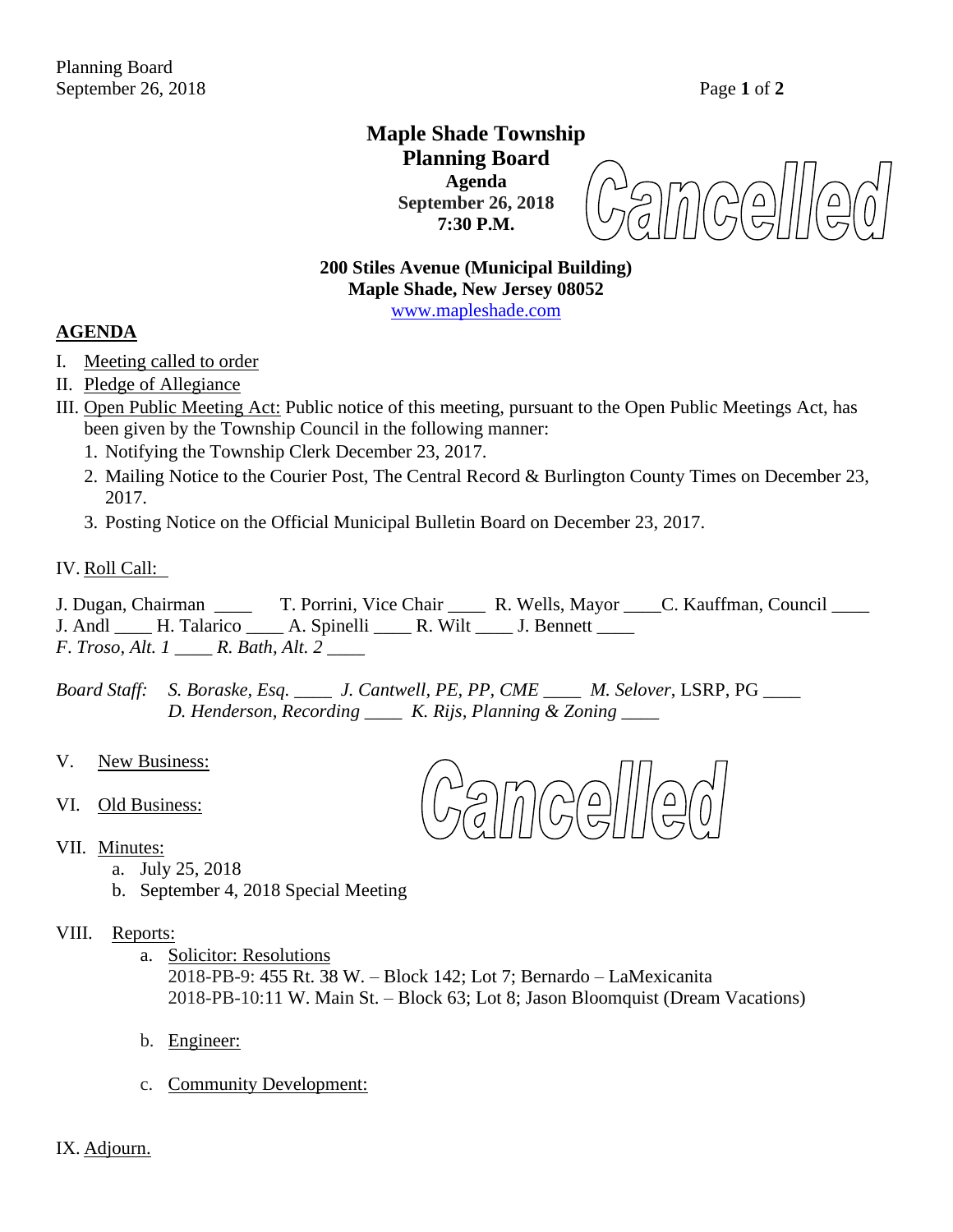## **Maple Shade Township Planning Board Agenda September 26, 2018 7:30 P.M.**

## **200 Stiles Avenue (Municipal Building) Maple Shade, New Jersey 08052** [www.mapleshade.com](http://www.mapleshade.com/)

## **AGENDA**

- I. Meeting called to order
- II. Pledge of Allegiance
- III. Open Public Meeting Act: Public notice of this meeting, pursuant to the Open Public Meetings Act, has been given by the Township Council in the following manner:
	- 1. Notifying the Township Clerk December 23, 2017.
	- 2. Mailing Notice to the Courier Post, The Central Record & Burlington County Times on December 23, 2017.
	- 3. Posting Notice on the Official Municipal Bulletin Board on December 23, 2017.

#### IV. Roll Call:

J. Dugan, Chairman \_\_\_\_ T. Porrini, Vice Chair \_\_\_\_ R. Wells, Mayor \_\_\_\_C. Kauffman, Council \_\_\_\_ J. Andl H. Talarico A. Spinelli R. Wilt J. Bennett *F*. *Troso, Alt. 1 \_\_\_\_ R. Bath, Alt. 2 \_\_\_\_*

*Board Staff: S. Boraske, Esq. \_\_\_\_ J. Cantwell, PE, PP, CME \_\_\_\_ M. Selover*, LSRP, PG *\_\_\_\_ D. Henderson, Recording \_\_\_\_ K. Rijs, Planning & Zoning \_\_\_\_*

- V. New Business:
- VI. Old Business:
- VII. Minutes:
	- a. July 25, 2018
	- b. September 4, 2018 Special Meeting

### VIII. Reports:

a. Solicitor: Resolutions

2018-PB-9: 455 Rt. 38 W. – Block 142; Lot 7; Bernardo – LaMexicanita 2018-PB-10:11 W. Main St. – Block 63; Lot 8; Jason Bloomquist (Dream Vacations)

- b. Engineer:
- c. Community Development:

IX. Adjourn.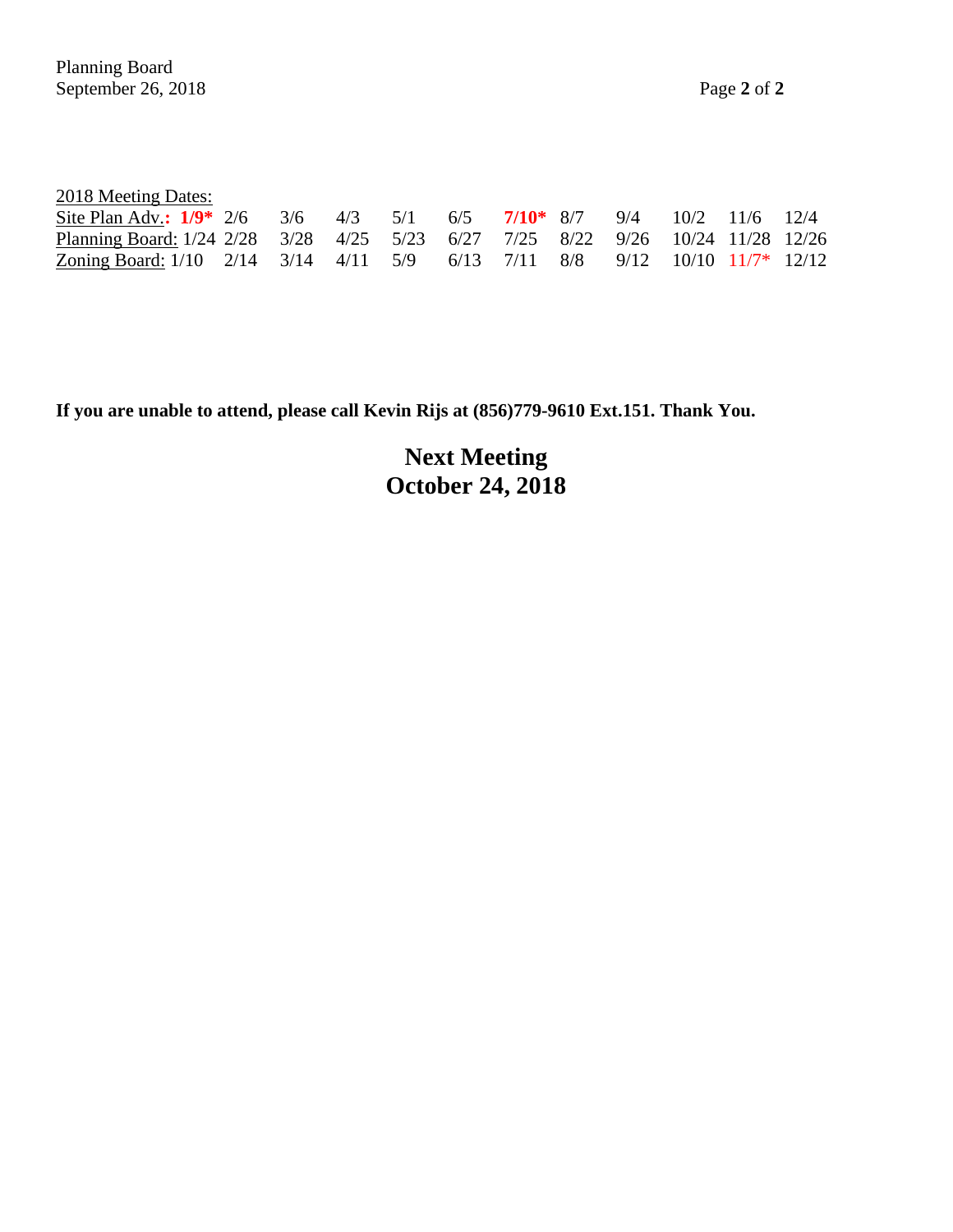| 2018 Meeting Dates:                                                                  |  |  |  |  |  |  |
|--------------------------------------------------------------------------------------|--|--|--|--|--|--|
| Site Plan Adv.: $1/9^*$ 2/6 3/6 4/3 5/1 6/5 7/10 <sup>*</sup> 8/7 9/4 10/2 11/6 12/4 |  |  |  |  |  |  |
| Planning Board: 1/24 2/28 3/28 4/25 5/23 6/27 7/25 8/22 9/26 10/24 11/28 12/26       |  |  |  |  |  |  |
| Zoning Board: 1/10 2/14 3/14 4/11 5/9 6/13 7/11 8/8 9/12 10/10 11/7* 12/12           |  |  |  |  |  |  |

**If you are unable to attend, please call Kevin Rijs at (856)779-9610 Ext.151. Thank You.**

**Next Meeting October 24, 2018**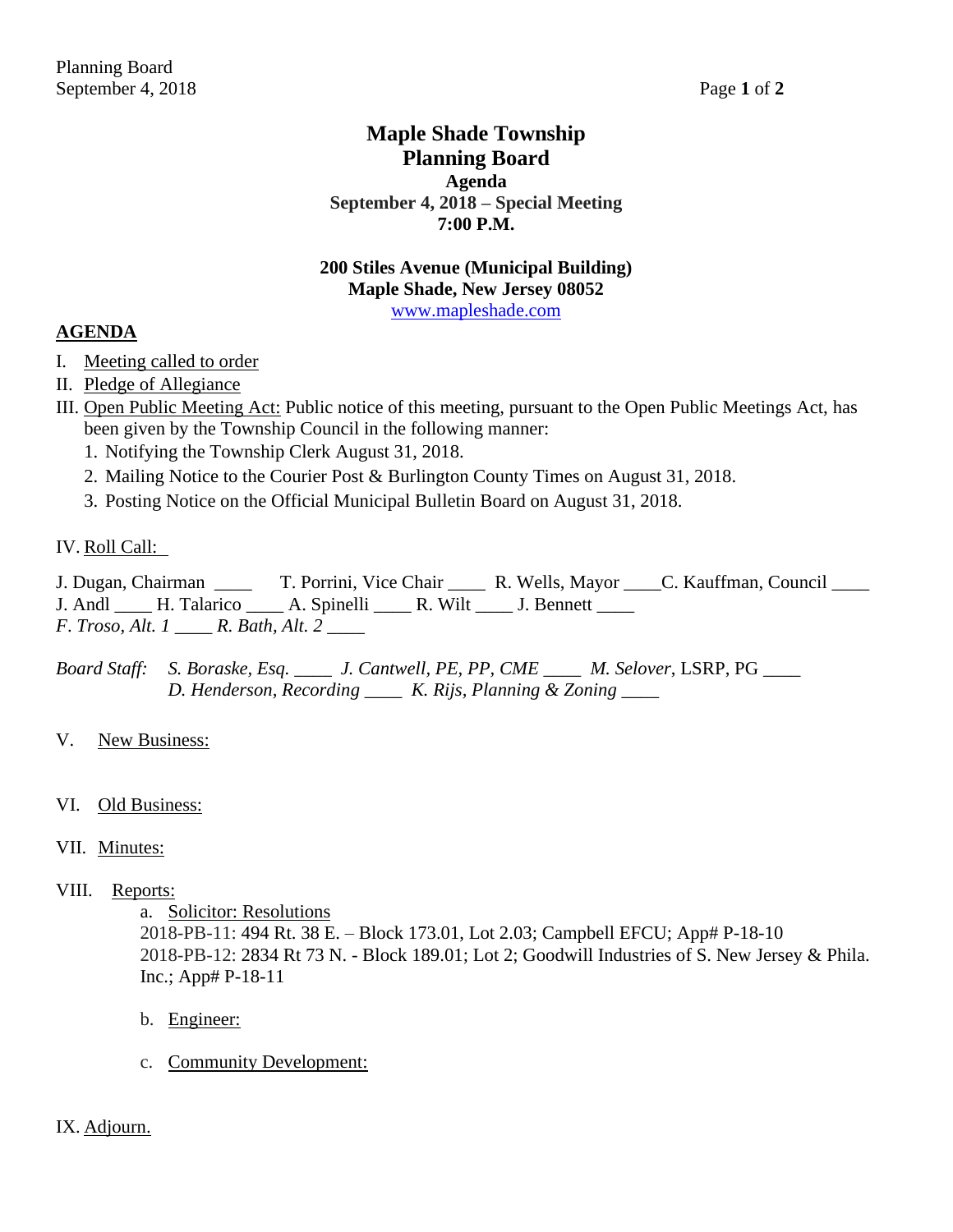## **Maple Shade Township Planning Board Agenda September 4, 2018 – Special Meeting 7:00 P.M.**

## **200 Stiles Avenue (Municipal Building) Maple Shade, New Jersey 08052**

[www.mapleshade.com](http://www.mapleshade.com/)

## **AGENDA**

- I. Meeting called to order
- II. Pledge of Allegiance
- III. Open Public Meeting Act: Public notice of this meeting, pursuant to the Open Public Meetings Act, has been given by the Township Council in the following manner:
	- 1. Notifying the Township Clerk August 31, 2018.
	- 2. Mailing Notice to the Courier Post & Burlington County Times on August 31, 2018.
	- 3. Posting Notice on the Official Municipal Bulletin Board on August 31, 2018.

## IV. Roll Call:

- J. Dugan, Chairman \_\_\_\_ T. Porrini, Vice Chair \_\_\_\_ R. Wells, Mayor \_\_\_\_C. Kauffman, Council \_\_\_\_ J. Andl \_\_\_\_\_ H. Talarico \_\_\_\_\_ A. Spinelli \_\_\_\_\_ R. Wilt \_\_\_\_ J. Bennett \_\_\_\_\_
- *F*. *Troso, Alt. 1 \_\_\_\_ R. Bath, Alt. 2 \_\_\_\_*

*Board Staff: S. Boraske, Esq. \_\_\_\_ J. Cantwell, PE, PP, CME \_\_\_\_ M. Selover*, LSRP, PG *\_\_\_\_ D. Henderson, Recording \_\_\_\_ K. Rijs, Planning & Zoning \_\_\_\_*

V. New Business:

## VI. Old Business:

- VII. Minutes:
- VIII. Reports:
	- a. Solicitor: Resolutions

2018-PB-11: 494 Rt. 38 E. – Block 173.01, Lot 2.03; Campbell EFCU; App# P-18-10 2018-PB-12: 2834 Rt 73 N. - Block 189.01; Lot 2; Goodwill Industries of S. New Jersey & Phila. Inc.; App# P-18-11

- b. Engineer:
- c. Community Development:

## IX. Adjourn.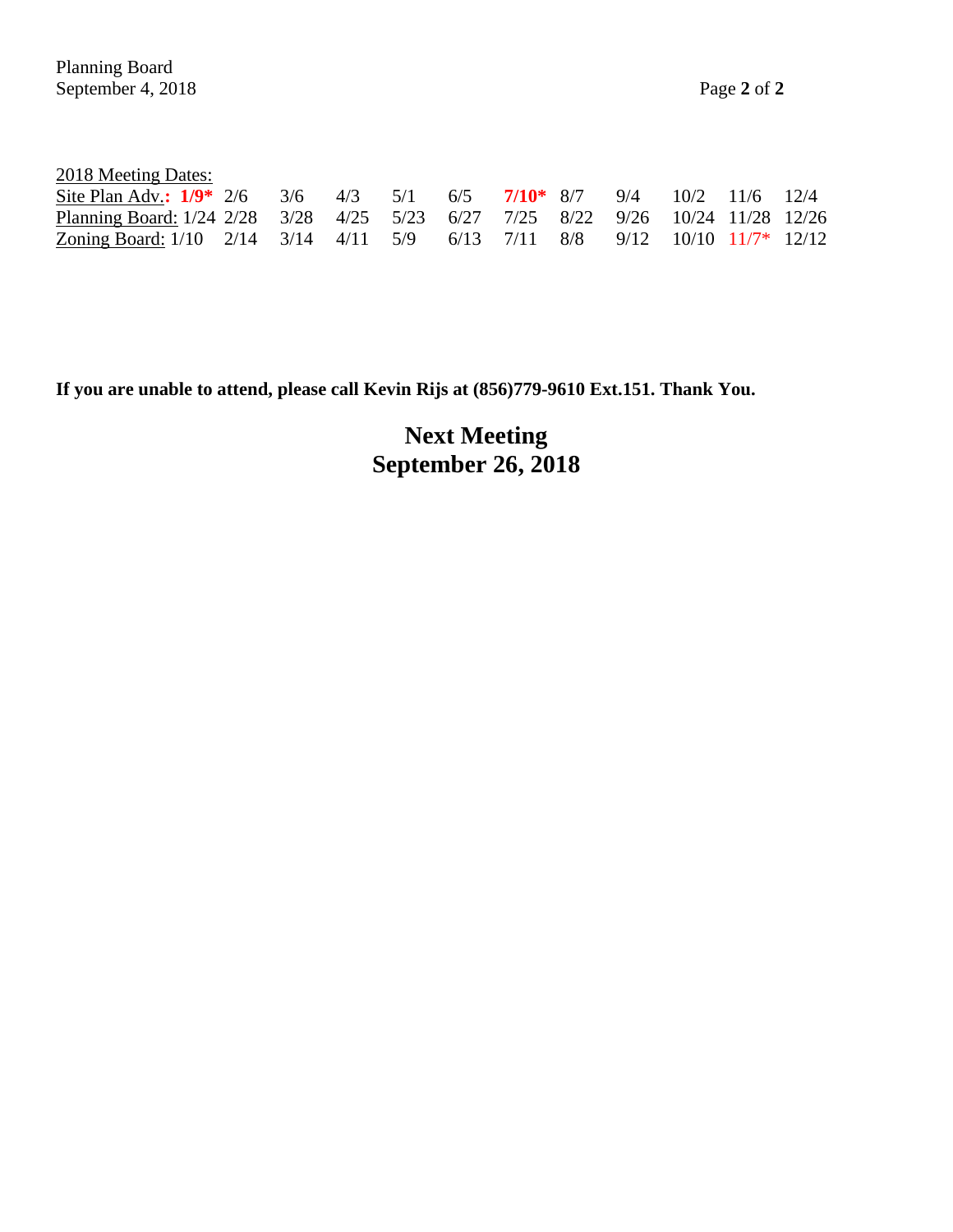| 2018 Meeting Dates: |  |
|---------------------|--|
|                     |  |

| Site Plan Adv.: $1/9$ * 2/6 3/6 4/3 5/1 6/5 7/10 * 8/7 9/4 10/2 11/6 12/4      |  |  |  |  |  |  |
|--------------------------------------------------------------------------------|--|--|--|--|--|--|
| Planning Board: 1/24 2/28 3/28 4/25 5/23 6/27 7/25 8/22 9/26 10/24 11/28 12/26 |  |  |  |  |  |  |
| Zoning Board: 1/10 2/14 3/14 4/11 5/9 6/13 7/11 8/8 9/12 10/10 11/7* 12/12     |  |  |  |  |  |  |

**If you are unable to attend, please call Kevin Rijs at (856)779-9610 Ext.151. Thank You.**

**Next Meeting September 26, 2018**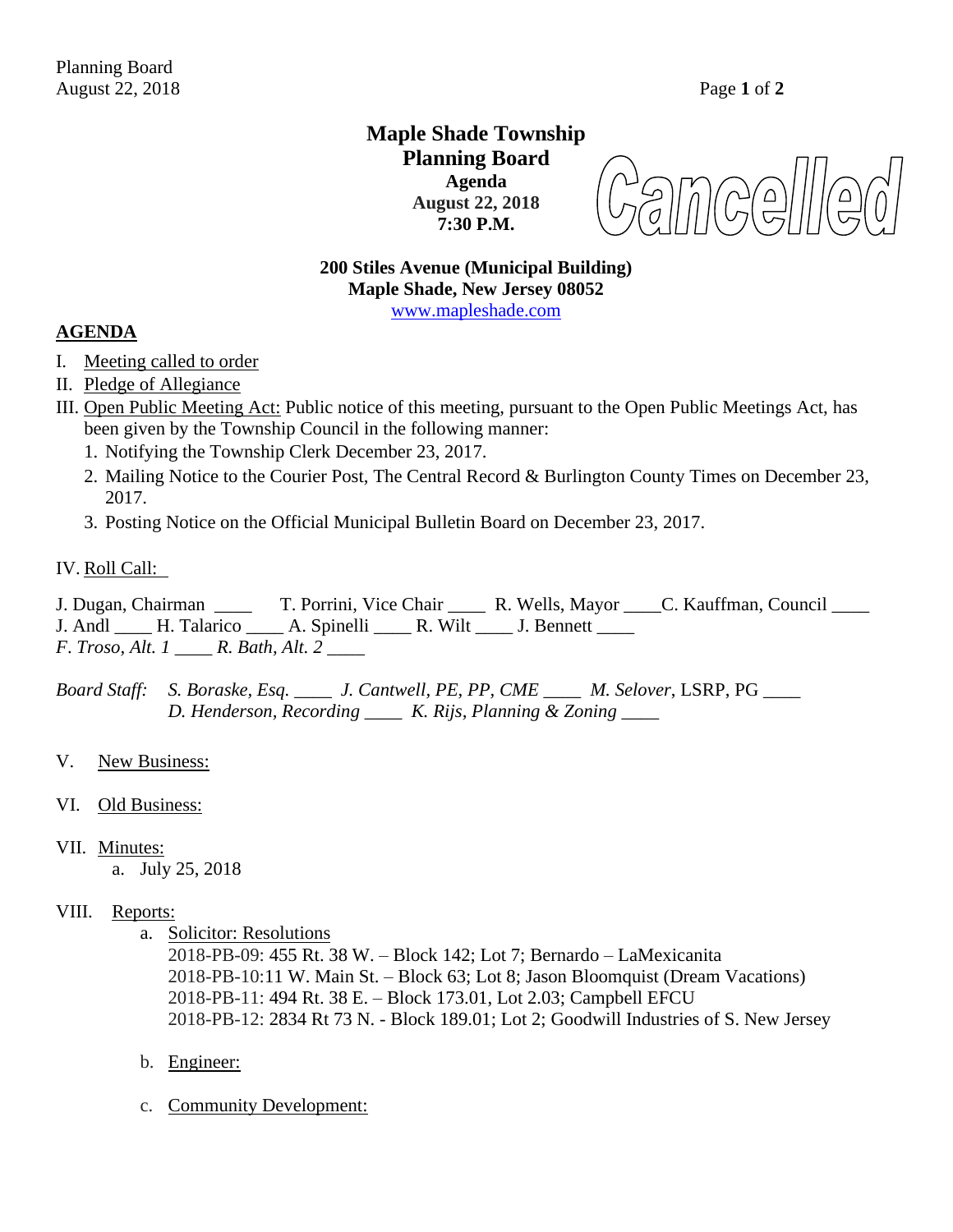## **Maple Shade Township Planning Board Agenda August 22, 2018 7:30 P.M.**

**200 Stiles Avenue (Municipal Building) Maple Shade, New Jersey 08052** [www.mapleshade.com](http://www.mapleshade.com/)

### **AGENDA**

- I. Meeting called to order
- II. Pledge of Allegiance
- III. Open Public Meeting Act: Public notice of this meeting, pursuant to the Open Public Meetings Act, has been given by the Township Council in the following manner:
	- 1. Notifying the Township Clerk December 23, 2017.
	- 2. Mailing Notice to the Courier Post, The Central Record & Burlington County Times on December 23, 2017.
	- 3. Posting Notice on the Official Municipal Bulletin Board on December 23, 2017.

#### IV. Roll Call:

J. Dugan, Chairman \_\_\_\_ T. Porrini, Vice Chair \_\_\_\_ R. Wells, Mayor \_\_\_\_C. Kauffman, Council \_\_\_\_ J. Andl H. Talarico A. Spinelli R. Wilt J. Bennett *F*. *Troso, Alt. 1 \_\_\_\_ R. Bath, Alt. 2 \_\_\_\_*

*Board Staff: S. Boraske, Esq. \_\_\_\_ J. Cantwell, PE, PP, CME \_\_\_\_ M. Selover*, LSRP, PG *\_\_\_\_ D. Henderson, Recording \_\_\_\_ K. Rijs, Planning & Zoning \_\_\_\_*

- V. New Business:
- VI. Old Business:

#### VII. Minutes:

a. July 25, 2018

#### VIII. Reports:

a. Solicitor: Resolutions

2018-PB-09: 455 Rt. 38 W. – Block 142; Lot 7; Bernardo – LaMexicanita 2018-PB-10:11 W. Main St. – Block 63; Lot 8; Jason Bloomquist (Dream Vacations) 2018-PB-11: 494 Rt. 38 E. – Block 173.01, Lot 2.03; Campbell EFCU 2018-PB-12: 2834 Rt 73 N. - Block 189.01; Lot 2; Goodwill Industries of S. New Jersey

- b. Engineer:
- c. Community Development: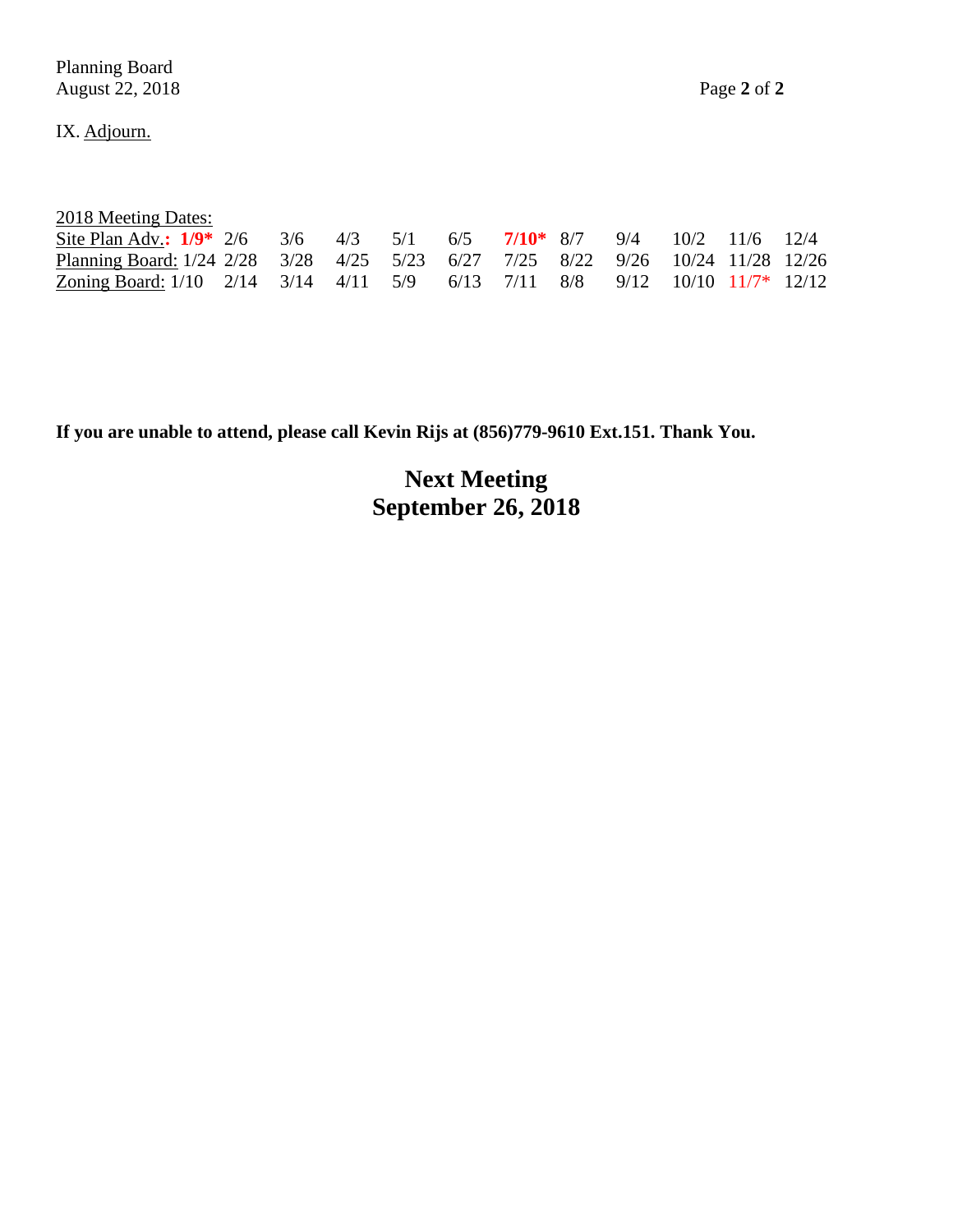Planning Board August 22, 2018 Page **2** of **2**

IX. Adjourn.

| 2018 Meeting Dates: |  |
|---------------------|--|
|                     |  |

| Site Plan Adv.: $1/9$ * 2/6 3/6 4/3 5/1 6/5 7/10 * 8/7 9/4 10/2 11/6 12/4      |  |  |  |  |  |  |
|--------------------------------------------------------------------------------|--|--|--|--|--|--|
| Planning Board: 1/24 2/28 3/28 4/25 5/23 6/27 7/25 8/22 9/26 10/24 11/28 12/26 |  |  |  |  |  |  |
| Zoning Board: 1/10 2/14 3/14 4/11 5/9 6/13 7/11 8/8 9/12 10/10 11/7* 12/12     |  |  |  |  |  |  |

**If you are unable to attend, please call Kevin Rijs at (856)779-9610 Ext.151. Thank You.**

**Next Meeting September 26, 2018**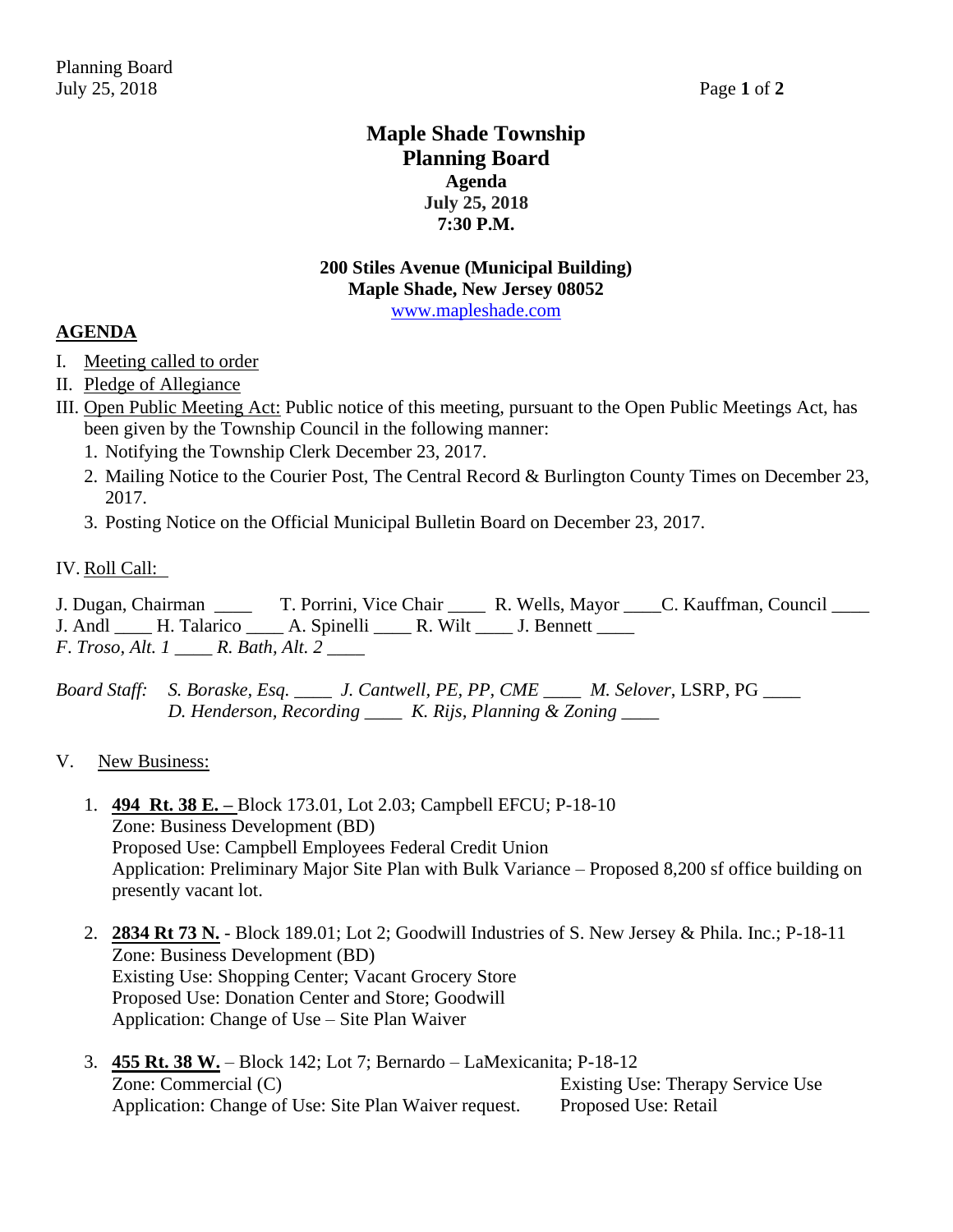## **Maple Shade Township Planning Board Agenda July 25, 2018 7:30 P.M.**

### **200 Stiles Avenue (Municipal Building) Maple Shade, New Jersey 08052** [www.mapleshade.com](http://www.mapleshade.com/)

## **AGENDA**

- I. Meeting called to order
- II. Pledge of Allegiance
- III. Open Public Meeting Act: Public notice of this meeting, pursuant to the Open Public Meetings Act, has been given by the Township Council in the following manner:
	- 1. Notifying the Township Clerk December 23, 2017.
	- 2. Mailing Notice to the Courier Post, The Central Record & Burlington County Times on December 23, 2017.
	- 3. Posting Notice on the Official Municipal Bulletin Board on December 23, 2017.

#### IV. Roll Call:

J. Dugan, Chairman \_\_\_\_ T. Porrini, Vice Chair \_\_\_\_ R. Wells, Mayor \_\_\_\_C. Kauffman, Council \_\_\_\_ J. Andl H. Talarico A. Spinelli R. Wilt J. Bennett *F*. *Troso, Alt. 1 \_\_\_\_ R. Bath, Alt. 2 \_\_\_\_*

*Board Staff: S. Boraske, Esq. \_\_\_\_ J. Cantwell, PE, PP, CME \_\_\_\_ M. Selover*, LSRP, PG *\_\_\_\_ D. Henderson, Recording \_\_\_\_ K. Rijs, Planning & Zoning \_\_\_\_*

#### V. New Business:

- 1. **494 Rt. 38 E. –** Block 173.01, Lot 2.03; Campbell EFCU; P-18-10 Zone: Business Development (BD) Proposed Use: Campbell Employees Federal Credit Union Application: Preliminary Major Site Plan with Bulk Variance – Proposed 8,200 sf office building on presently vacant lot.
- 2. **2834 Rt 73 N.** Block 189.01; Lot 2; Goodwill Industries of S. New Jersey & Phila. Inc.; P-18-11 Zone: Business Development (BD) Existing Use: Shopping Center; Vacant Grocery Store Proposed Use: Donation Center and Store; Goodwill Application: Change of Use – Site Plan Waiver
- 3. **455 Rt. 38 W.** Block 142; Lot 7; Bernardo LaMexicanita; P-18-12 Zone: Commercial (C) Existing Use: Therapy Service Use Application: Change of Use: Site Plan Waiver request. Proposed Use: Retail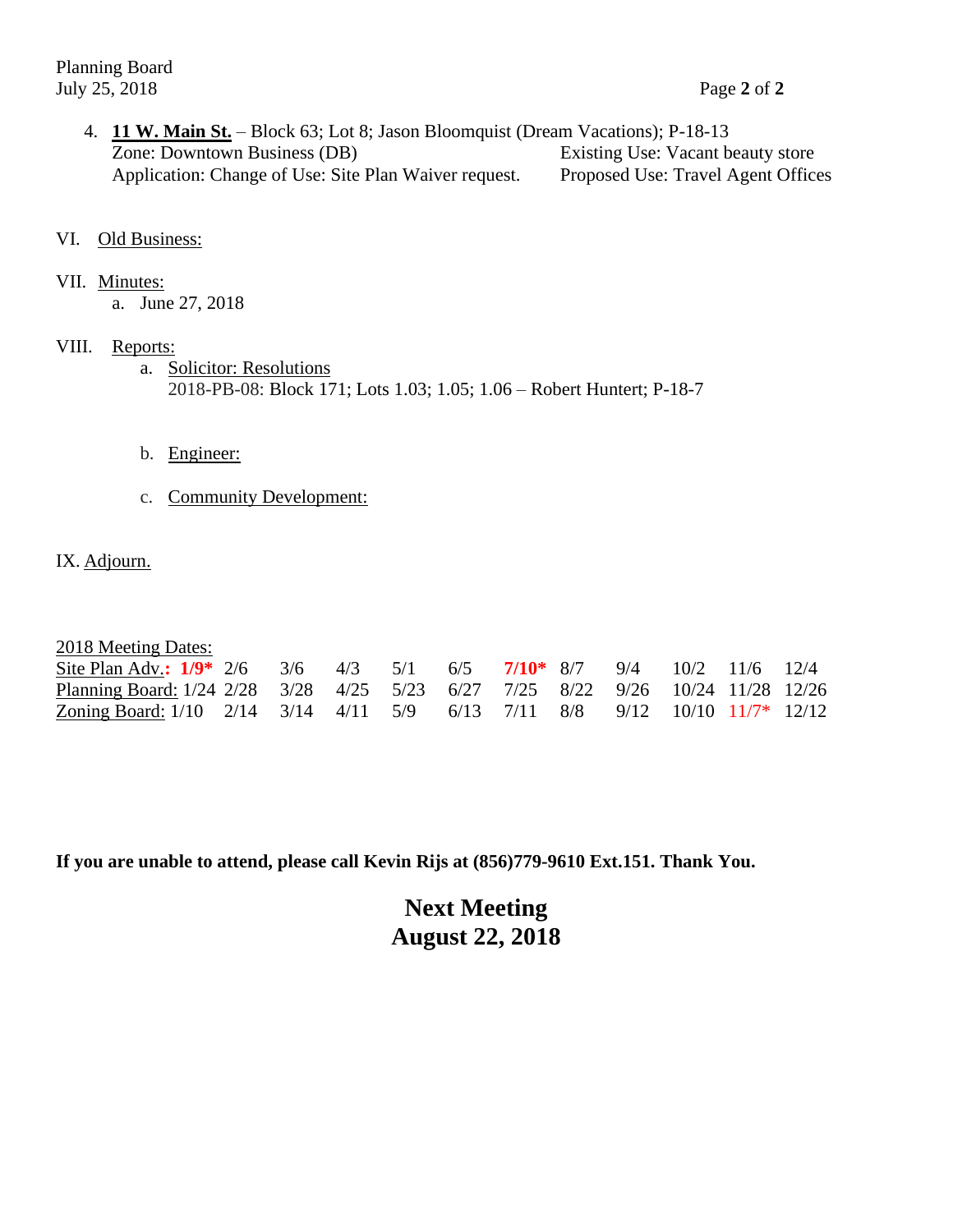Planning Board July 25, 2018 Page **2** of **2**

- 4. **11 W. Main St.** Block 63; Lot 8; Jason Bloomquist (Dream Vacations); P-18-13 Zone: Downtown Business (DB) Existing Use: Vacant beauty store Application: Change of Use: Site Plan Waiver request. Proposed Use: Travel Agent Offices
- VI. Old Business:
- VII. Minutes:

a. June 27, 2018

- VIII. Reports:
	- a. Solicitor: Resolutions 2018-PB-08: Block 171; Lots 1.03; 1.05; 1.06 – Robert Huntert; P-18-7
	- b. Engineer:
	- c. Community Development:
- IX. Adjourn.

| 2018 Meeting Dates:                                                            |  |  |  |  |  |  |
|--------------------------------------------------------------------------------|--|--|--|--|--|--|
| Site Plan Adv.: $1/9$ * 2/6 3/6 4/3 5/1 6/5 7/10 * 8/7 9/4 10/2 11/6 12/4      |  |  |  |  |  |  |
| Planning Board: 1/24 2/28 3/28 4/25 5/23 6/27 7/25 8/22 9/26 10/24 11/28 12/26 |  |  |  |  |  |  |
| Zoning Board: $1/10$ 2/14 3/14 4/11 5/9 6/13 7/11 8/8 9/12 10/10 11/7* 12/12   |  |  |  |  |  |  |

**If you are unable to attend, please call Kevin Rijs at (856)779-9610 Ext.151. Thank You.**

# **Next Meeting August 22, 2018**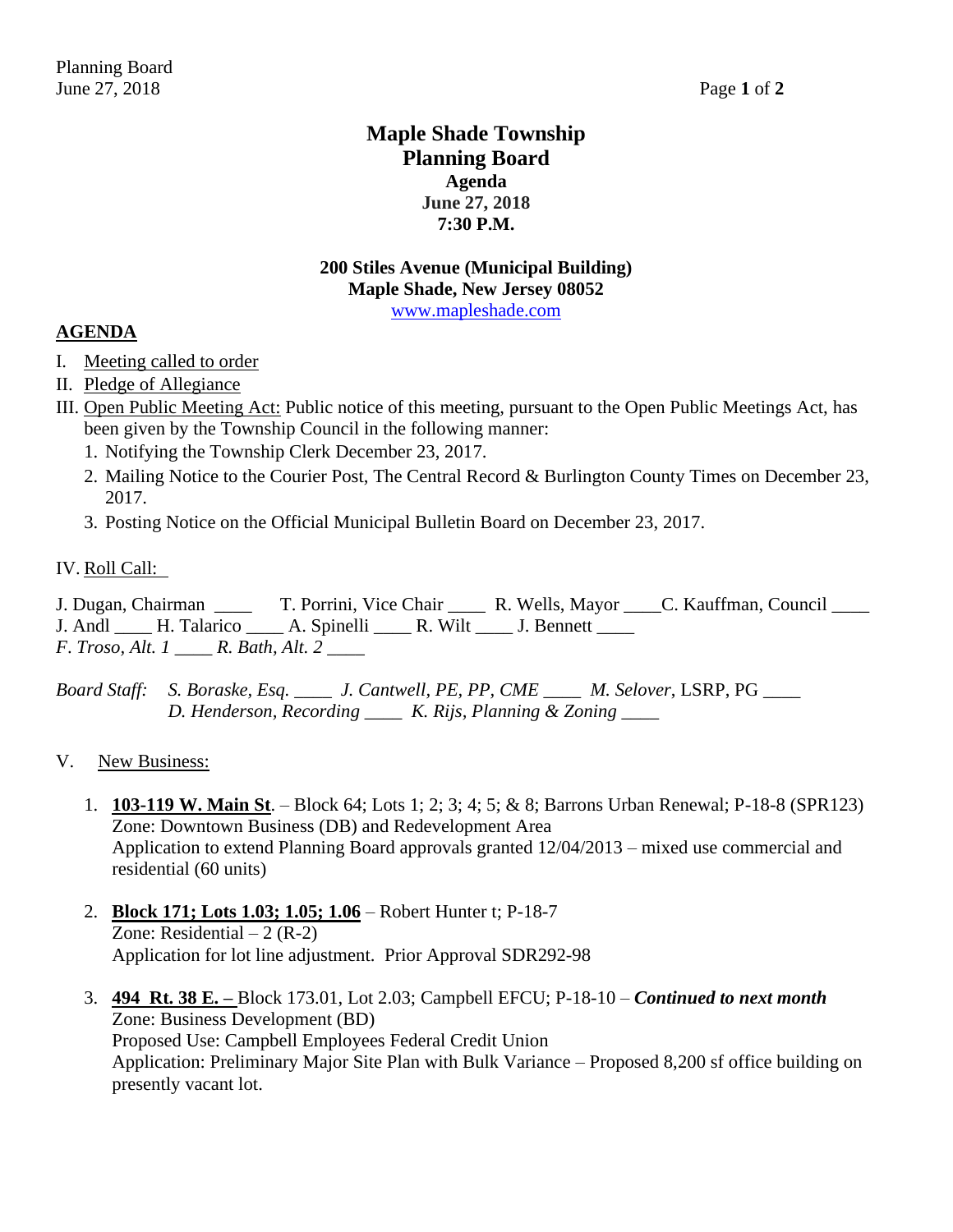## **Maple Shade Township Planning Board Agenda June 27, 2018 7:30 P.M.**

## **200 Stiles Avenue (Municipal Building) Maple Shade, New Jersey 08052** [www.mapleshade.com](http://www.mapleshade.com/)

## **AGENDA**

- I. Meeting called to order
- II. Pledge of Allegiance
- III. Open Public Meeting Act: Public notice of this meeting, pursuant to the Open Public Meetings Act, has been given by the Township Council in the following manner:
	- 1. Notifying the Township Clerk December 23, 2017.
	- 2. Mailing Notice to the Courier Post, The Central Record & Burlington County Times on December 23, 2017.
	- 3. Posting Notice on the Official Municipal Bulletin Board on December 23, 2017.

## IV. Roll Call:

J. Dugan, Chairman \_\_\_\_ T. Porrini, Vice Chair \_\_\_\_ R. Wells, Mayor \_\_\_\_C. Kauffman, Council \_\_\_\_ J. Andl H. Talarico A. Spinelli R. Wilt J. Bennett *F*. *Troso, Alt. 1 \_\_\_\_ R. Bath, Alt. 2 \_\_\_\_*

*Board Staff: S. Boraske, Esq. \_\_\_\_ J. Cantwell, PE, PP, CME \_\_\_\_ M. Selover*, LSRP, PG *\_\_\_\_ D. Henderson, Recording \_\_\_\_ K. Rijs, Planning & Zoning \_\_\_\_*

- V. New Business:
	- 1. **103-119 W. Main St**. Block 64; Lots 1; 2; 3; 4; 5; & 8; Barrons Urban Renewal; P-18-8 (SPR123) Zone: Downtown Business (DB) and Redevelopment Area Application to extend Planning Board approvals granted 12/04/2013 – mixed use commercial and residential (60 units)
	- 2. **Block 171; Lots 1.03; 1.05; 1.06** Robert Hunter t; P-18-7 Zone: Residential  $-2$  (R-2) Application for lot line adjustment. Prior Approval SDR292-98
	- 3. **494 Rt. 38 E. –** Block 173.01, Lot 2.03; Campbell EFCU; P-18-10 *Continued to next month* Zone: Business Development (BD) Proposed Use: Campbell Employees Federal Credit Union Application: Preliminary Major Site Plan with Bulk Variance – Proposed 8,200 sf office building on presently vacant lot.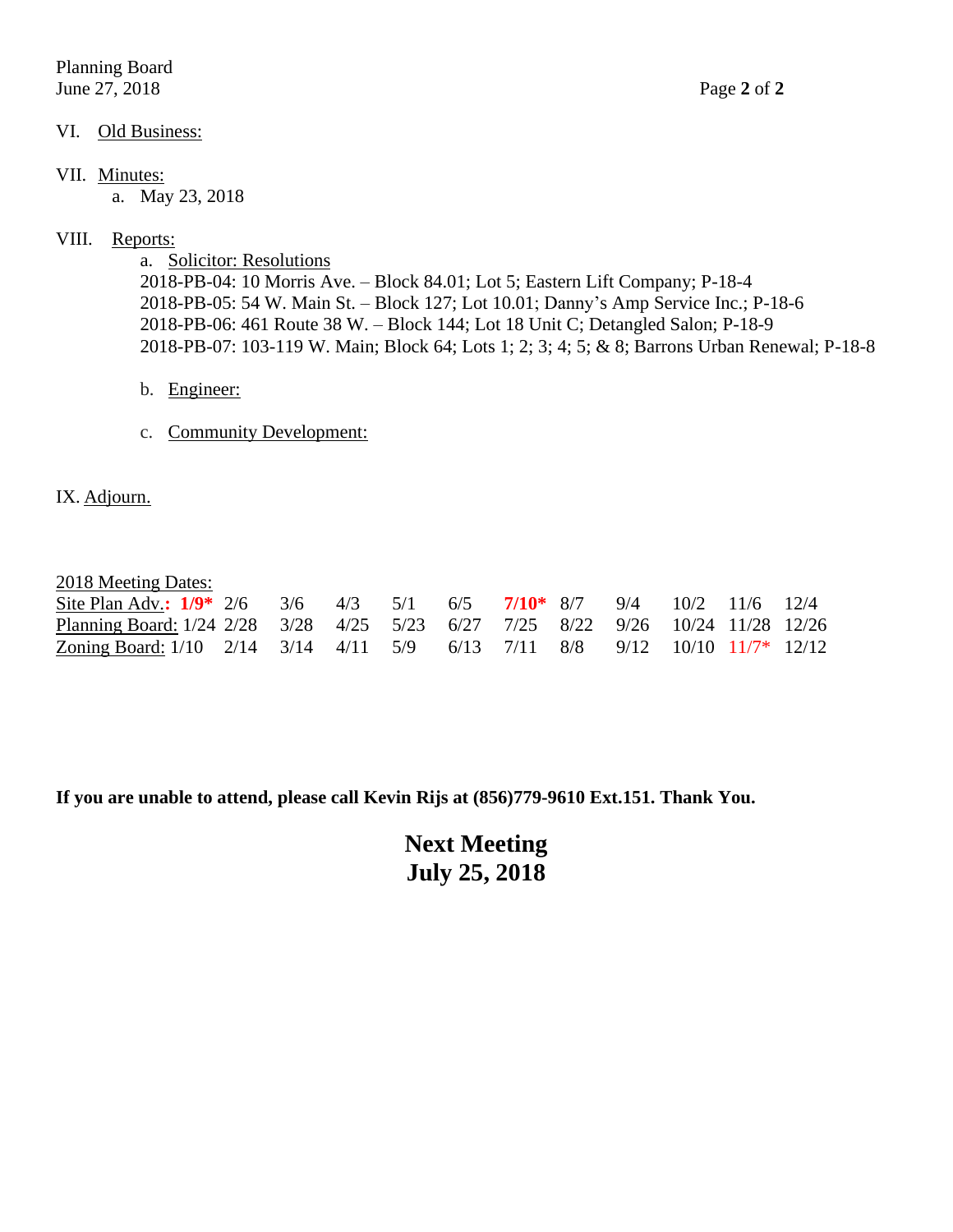Planning Board June 27, 2018 Page **2** of **2**

#### VI. Old Business:

#### VII. Minutes:

a. May 23, 2018

#### VIII. Reports:

a. Solicitor: Resolutions 2018-PB-04: 10 Morris Ave. – Block 84.01; Lot 5; Eastern Lift Company; P-18-4 2018-PB-05: 54 W. Main St. – Block 127; Lot 10.01; Danny's Amp Service Inc.; P-18-6 2018-PB-06: 461 Route 38 W. – Block 144; Lot 18 Unit C; Detangled Salon; P-18-9 2018-PB-07: 103-119 W. Main; Block 64; Lots 1; 2; 3; 4; 5; & 8; Barrons Urban Renewal; P-18-8

- b. Engineer:
- c. Community Development:

### IX. Adjourn.

#### 2018 Meeting Dates:

| Site Plan Adv.: $1/9$ * 2/6 3/6 4/3 5/1 6/5 7/10 * 8/7 9/4 10/2 11/6 12/4      |  |  |  |  |  |  |
|--------------------------------------------------------------------------------|--|--|--|--|--|--|
| Planning Board: 1/24 2/28 3/28 4/25 5/23 6/27 7/25 8/22 9/26 10/24 11/28 12/26 |  |  |  |  |  |  |
| Zoning Board: 1/10 2/14 3/14 4/11 5/9 6/13 7/11 8/8 9/12 10/10 11/7* 12/12     |  |  |  |  |  |  |

**If you are unable to attend, please call Kevin Rijs at (856)779-9610 Ext.151. Thank You.**

**Next Meeting July 25, 2018**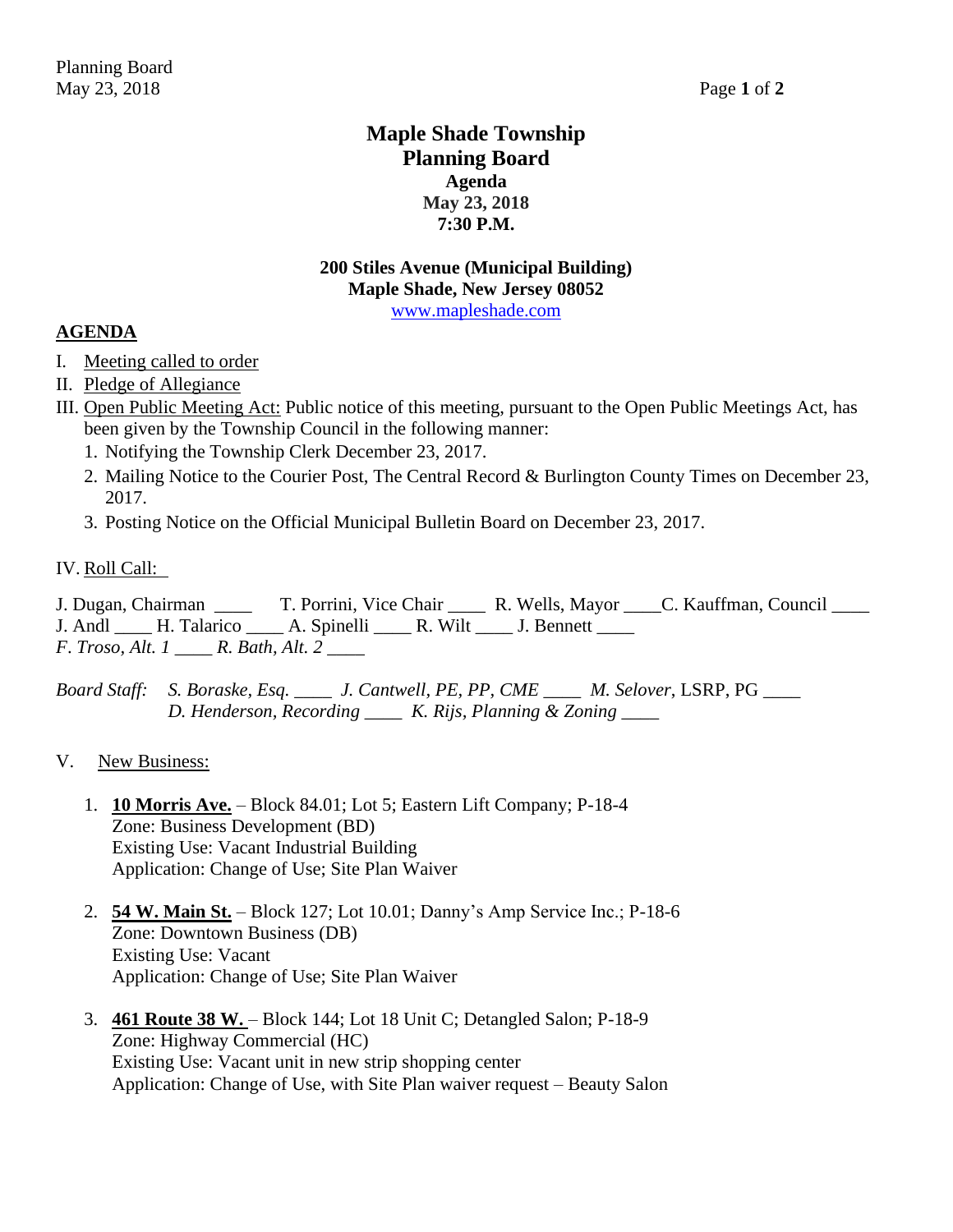## **Maple Shade Township Planning Board Agenda May 23, 2018 7:30 P.M.**

### **200 Stiles Avenue (Municipal Building) Maple Shade, New Jersey 08052** [www.mapleshade.com](http://www.mapleshade.com/)

## **AGENDA**

- I. Meeting called to order
- II. Pledge of Allegiance
- III. Open Public Meeting Act: Public notice of this meeting, pursuant to the Open Public Meetings Act, has been given by the Township Council in the following manner:
	- 1. Notifying the Township Clerk December 23, 2017.
	- 2. Mailing Notice to the Courier Post, The Central Record & Burlington County Times on December 23, 2017.
	- 3. Posting Notice on the Official Municipal Bulletin Board on December 23, 2017.

### IV. Roll Call:

J. Dugan, Chairman \_\_\_\_ T. Porrini, Vice Chair \_\_\_\_ R. Wells, Mayor \_\_\_\_C. Kauffman, Council \_\_\_\_ J. Andl H. Talarico A. Spinelli R. Wilt J. Bennett *F*. *Troso, Alt. 1 \_\_\_\_ R. Bath, Alt. 2 \_\_\_\_*

*Board Staff: S. Boraske, Esq. \_\_\_\_ J. Cantwell, PE, PP, CME \_\_\_\_ M. Selover*, LSRP, PG *\_\_\_\_ D. Henderson, Recording \_\_\_\_ K. Rijs, Planning & Zoning \_\_\_\_*

#### V. New Business:

- 1. **10 Morris Ave.** Block 84.01; Lot 5; Eastern Lift Company; P-18-4 Zone: Business Development (BD) Existing Use: Vacant Industrial Building Application: Change of Use; Site Plan Waiver
- 2. **54 W. Main St.** Block 127; Lot 10.01; Danny's Amp Service Inc.; P-18-6 Zone: Downtown Business (DB) Existing Use: Vacant Application: Change of Use; Site Plan Waiver
- 3. **461 Route 38 W.**  Block 144; Lot 18 Unit C; Detangled Salon; P-18-9 Zone: Highway Commercial (HC) Existing Use: Vacant unit in new strip shopping center Application: Change of Use, with Site Plan waiver request – Beauty Salon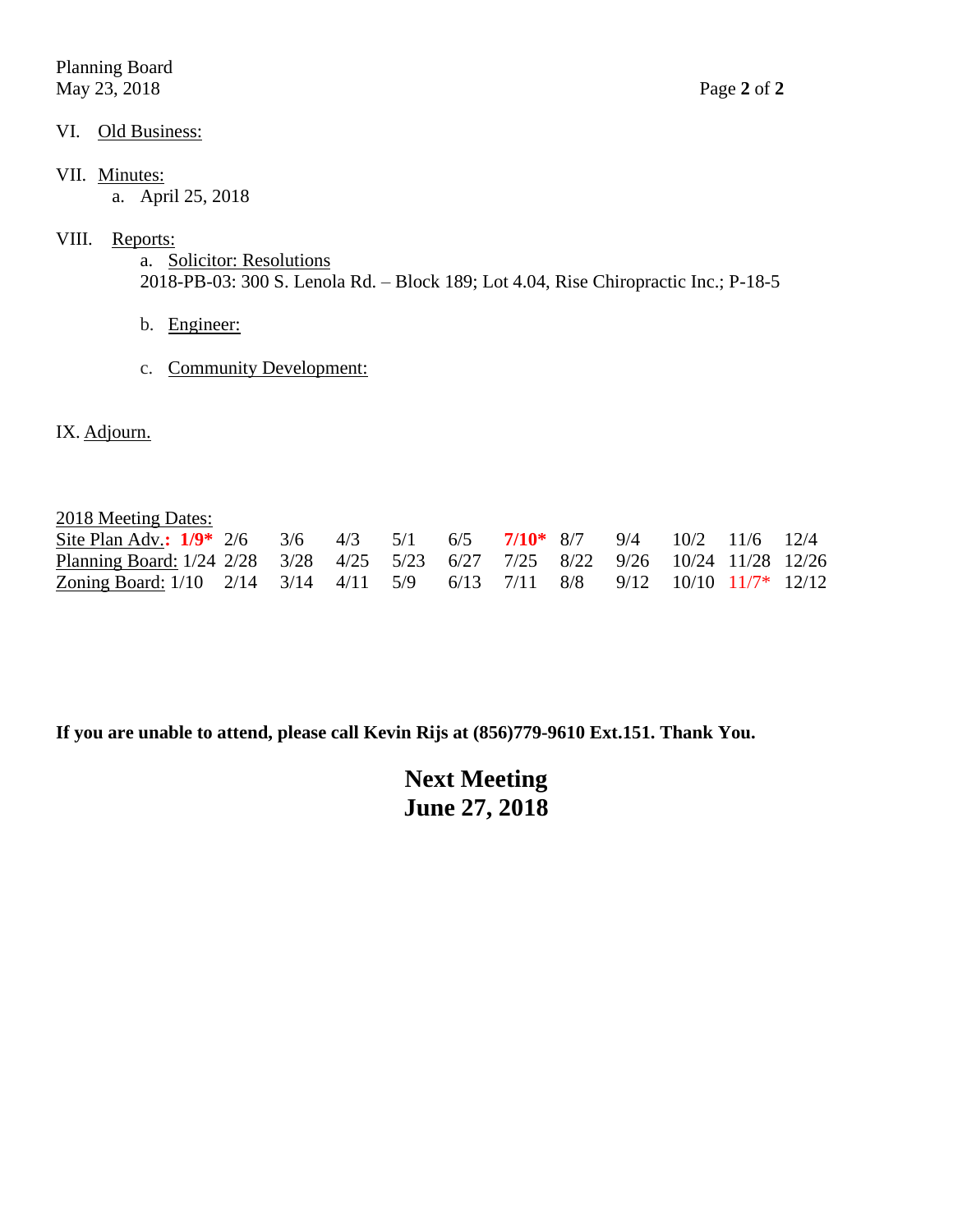Planning Board May 23, 2018 Page **2** of **2**

## VI. Old Business:

## VII. Minutes:

a. April 25, 2018

## VIII. Reports:

a. Solicitor: Resolutions 2018-PB-03: 300 S. Lenola Rd. – Block 189; Lot 4.04, Rise Chiropractic Inc.; P-18-5

- b. Engineer:
- c. Community Development:
- IX. Adjourn.

2018 Meeting Dates:

| Site Plan Adv.: $1/9$ * 2/6 3/6 4/3 5/1 6/5 7/10 * 8/7 9/4 10/2 11/6 12/4      |  |  |  |  |  |  |
|--------------------------------------------------------------------------------|--|--|--|--|--|--|
| Planning Board: 1/24 2/28 3/28 4/25 5/23 6/27 7/25 8/22 9/26 10/24 11/28 12/26 |  |  |  |  |  |  |
| Zoning Board: 1/10 2/14 3/14 4/11 5/9 6/13 7/11 8/8 9/12 10/10 11/7* 12/12     |  |  |  |  |  |  |

**If you are unable to attend, please call Kevin Rijs at (856)779-9610 Ext.151. Thank You.**

**Next Meeting June 27, 2018**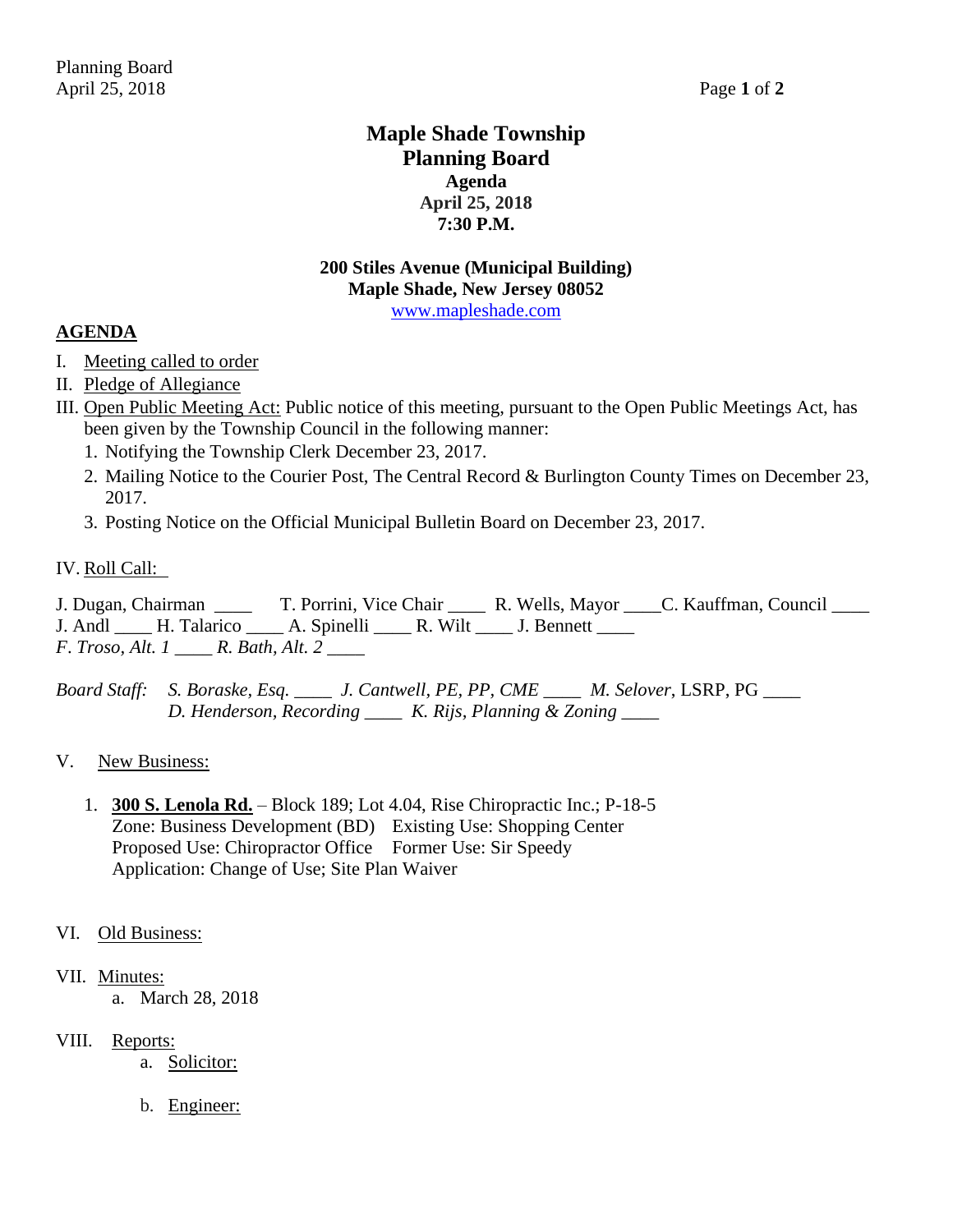## **Maple Shade Township Planning Board Agenda April 25, 2018 7:30 P.M.**

## **200 Stiles Avenue (Municipal Building) Maple Shade, New Jersey 08052** [www.mapleshade.com](http://www.mapleshade.com/)

## **AGENDA**

- I. Meeting called to order
- II. Pledge of Allegiance
- III. Open Public Meeting Act: Public notice of this meeting, pursuant to the Open Public Meetings Act, has been given by the Township Council in the following manner:
	- 1. Notifying the Township Clerk December 23, 2017.
	- 2. Mailing Notice to the Courier Post, The Central Record & Burlington County Times on December 23, 2017.
	- 3. Posting Notice on the Official Municipal Bulletin Board on December 23, 2017.

## IV. Roll Call:

J. Dugan, Chairman \_\_\_\_ T. Porrini, Vice Chair \_\_\_\_ R. Wells, Mayor \_\_\_\_C. Kauffman, Council \_\_\_\_ J. Andl H. Talarico A. Spinelli R. Wilt J. Bennett *F*. *Troso, Alt. 1 \_\_\_\_ R. Bath, Alt. 2 \_\_\_\_*

*Board Staff: S. Boraske, Esq. \_\_\_\_ J. Cantwell, PE, PP, CME \_\_\_\_ M. Selover*, LSRP, PG *\_\_\_\_ D. Henderson, Recording \_\_\_\_ K. Rijs, Planning & Zoning \_\_\_\_*

## V. New Business:

1. **300 S. Lenola Rd.** – Block 189; Lot 4.04, Rise Chiropractic Inc.; P-18-5 Zone: Business Development (BD) Existing Use: Shopping Center Proposed Use: Chiropractor Office Former Use: Sir Speedy Application: Change of Use; Site Plan Waiver

## VI. Old Business:

## VII. Minutes:

- a. March 28, 2018
- VIII. Reports:
	- a. Solicitor:
	- b. Engineer: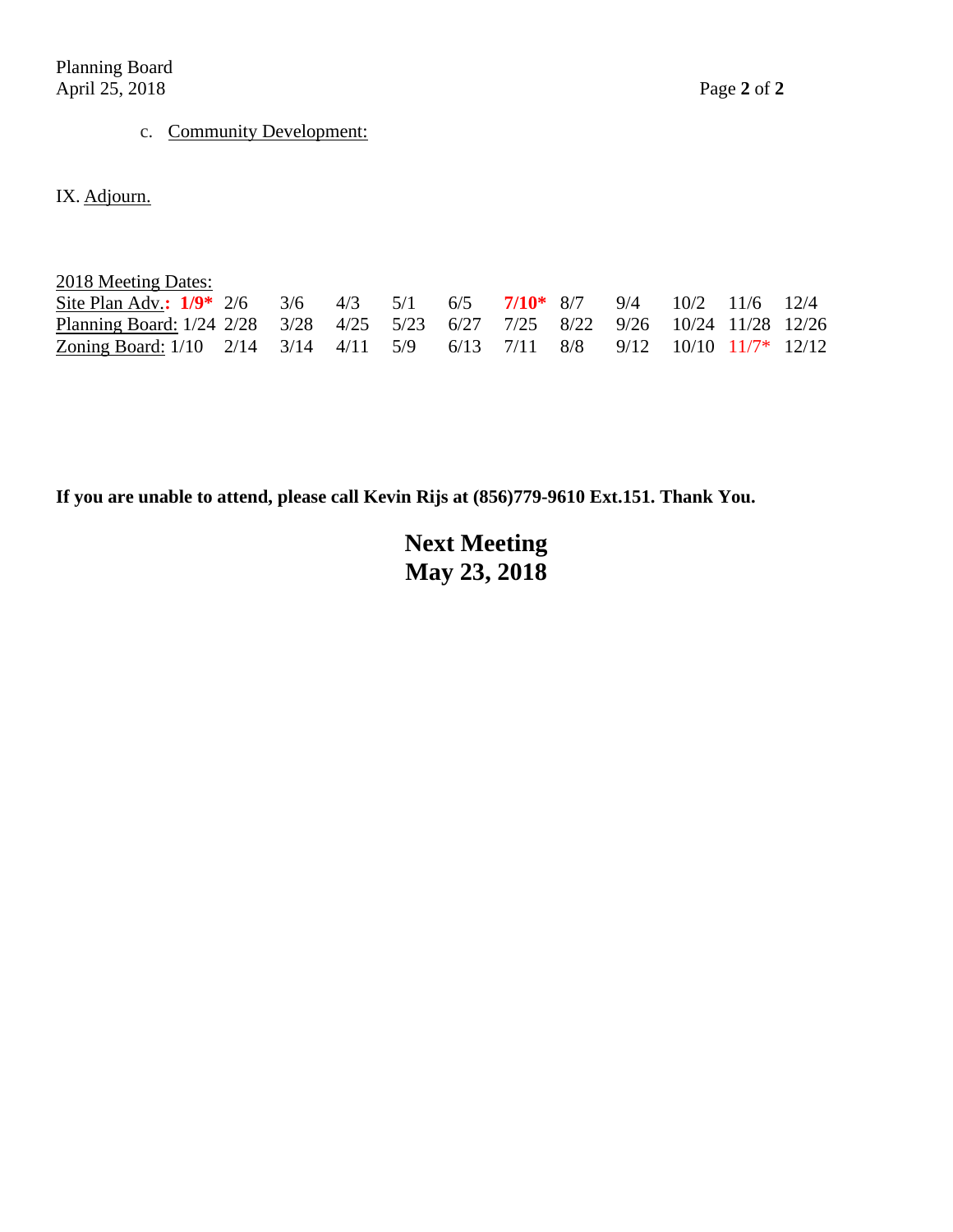Planning Board April 25, 2018 Page **2** of **2**

# c. Community Development:

IX. Adjourn.

| 2018 Meeting Dates: |
|---------------------|
|---------------------|

| Site Plan Adv.: $1/9^*$ 2/6 3/6 4/3 5/1 6/5 7/10 <sup>*</sup> 8/7 9/4 10/2 11/6 12/4 |  |  |  |  |  |  |
|--------------------------------------------------------------------------------------|--|--|--|--|--|--|
| Planning Board: 1/24 2/28 3/28 4/25 5/23 6/27 7/25 8/22 9/26 10/24 11/28 12/26       |  |  |  |  |  |  |
| Zoning Board: 1/10 2/14 3/14 4/11 5/9 6/13 7/11 8/8 9/12 10/10 11/7* 12/12           |  |  |  |  |  |  |

**If you are unable to attend, please call Kevin Rijs at (856)779-9610 Ext.151. Thank You.**

**Next Meeting May 23, 2018**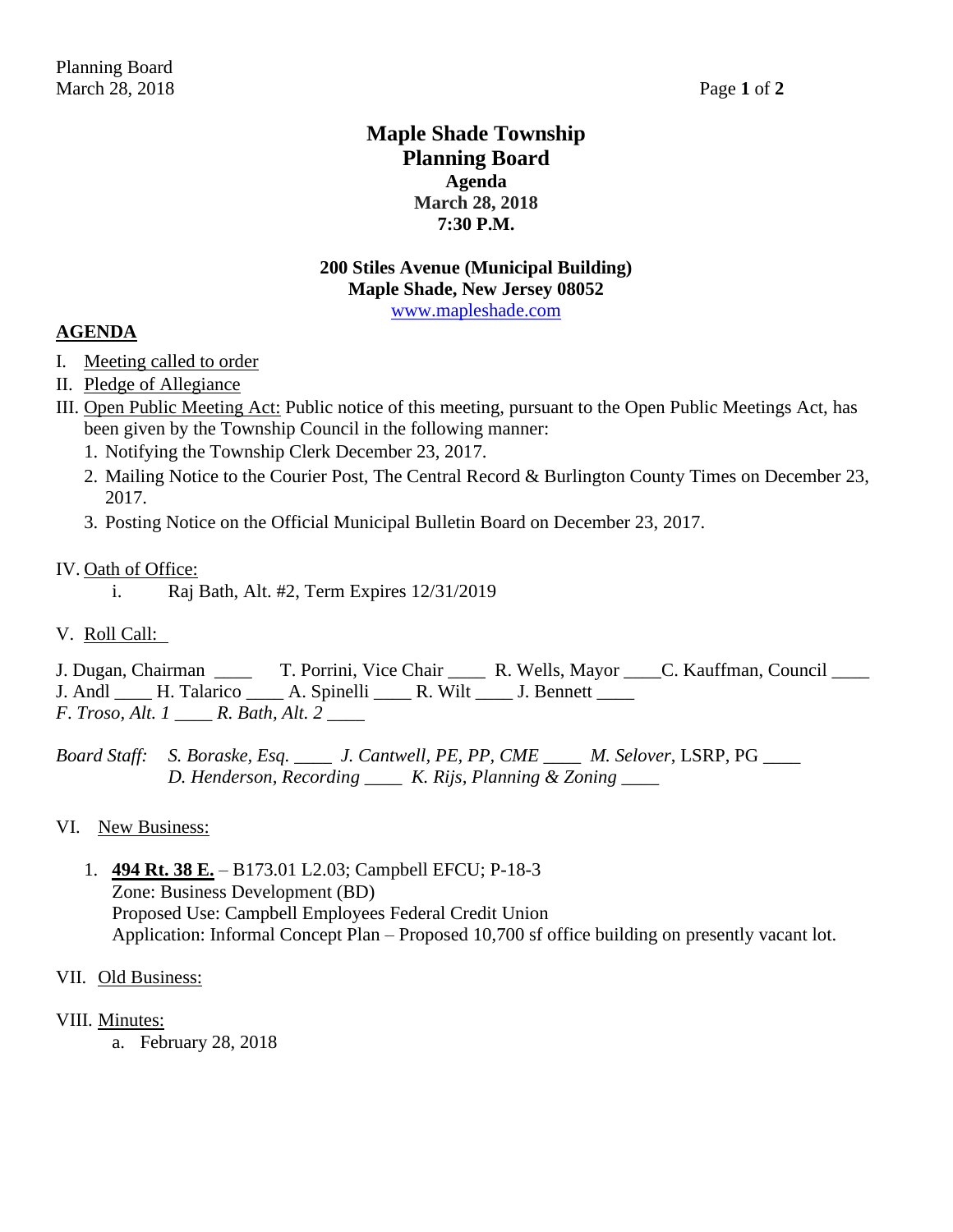## **Maple Shade Township Planning Board Agenda March 28, 2018 7:30 P.M.**

### **200 Stiles Avenue (Municipal Building) Maple Shade, New Jersey 08052** [www.mapleshade.com](http://www.mapleshade.com/)

## **AGENDA**

- I. Meeting called to order
- II. Pledge of Allegiance
- III. Open Public Meeting Act: Public notice of this meeting, pursuant to the Open Public Meetings Act, has been given by the Township Council in the following manner:
	- 1. Notifying the Township Clerk December 23, 2017.
	- 2. Mailing Notice to the Courier Post, The Central Record & Burlington County Times on December 23, 2017.
	- 3. Posting Notice on the Official Municipal Bulletin Board on December 23, 2017.

## IV. Oath of Office:

- i. Raj Bath, Alt. #2, Term Expires 12/31/2019
- V. Roll Call:

J. Dugan, Chairman \_\_\_\_ T. Porrini, Vice Chair \_\_\_\_ R. Wells, Mayor \_\_\_\_C. Kauffman, Council \_\_\_\_ J. Andl \_\_\_\_\_ H. Talarico \_\_\_\_\_ A. Spinelli \_\_\_\_\_ R. Wilt \_\_\_\_ J. Bennett \_\_\_\_\_ *F*. *Troso, Alt. 1 \_\_\_\_ R. Bath, Alt. 2 \_\_\_\_*

*Board Staff: S. Boraske, Esq. \_\_\_\_ J. Cantwell, PE, PP, CME \_\_\_\_ M. Selover*, LSRP, PG *\_\_\_\_ D. Henderson, Recording \_\_\_\_ K. Rijs, Planning & Zoning \_\_\_\_*

## VI. New Business:

1. **494 Rt. 38 E.** – B173.01 L2.03; Campbell EFCU; P-18-3 Zone: Business Development (BD) Proposed Use: Campbell Employees Federal Credit Union Application: Informal Concept Plan – Proposed 10,700 sf office building on presently vacant lot.

## VII. Old Business:

## VIII. Minutes:

a. February 28, 2018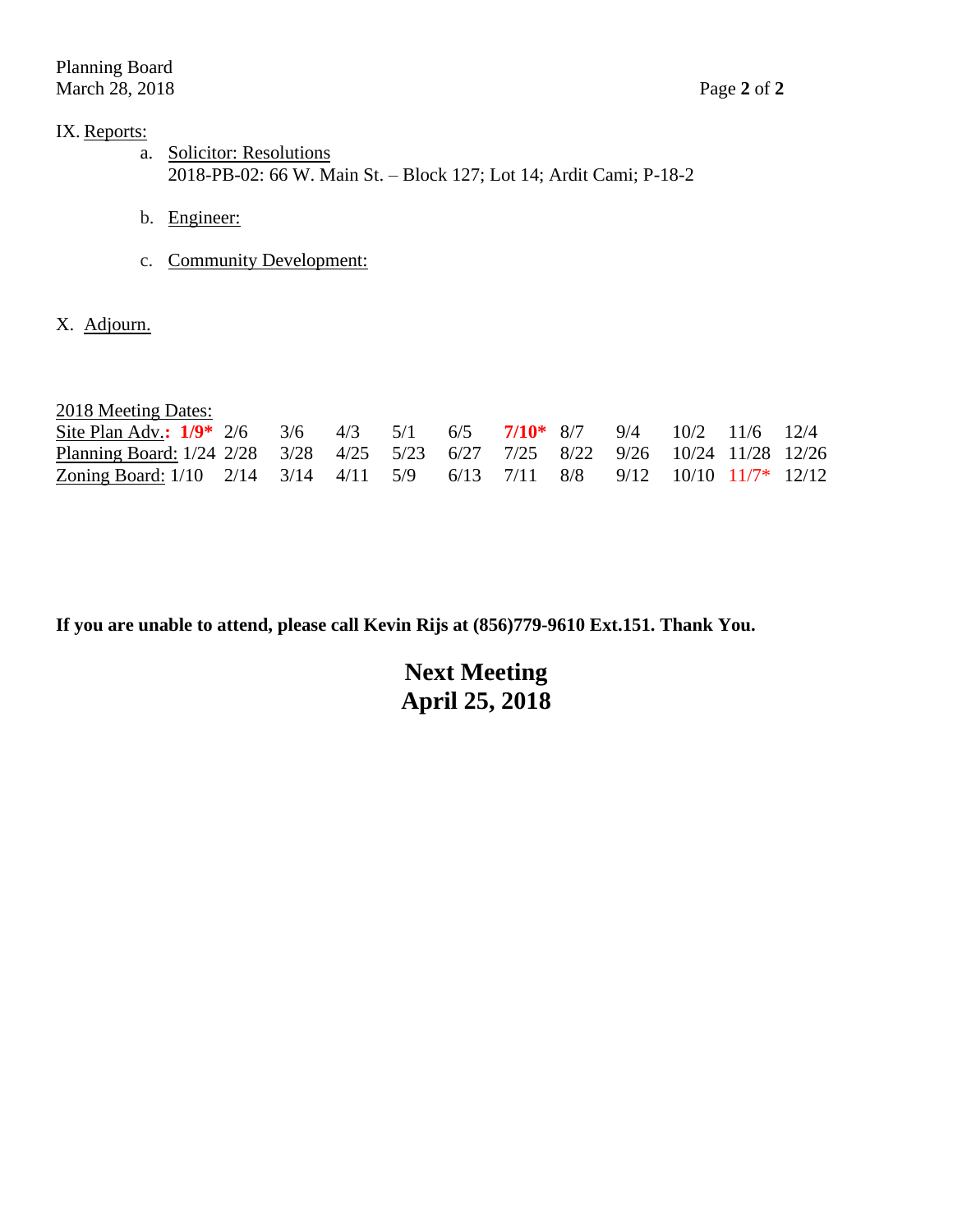## IX. Reports:

- a. Solicitor: Resolutions 2018-PB-02: 66 W. Main St. – Block 127; Lot 14; Ardit Cami; P-18-2
- b. Engineer:
- c. Community Development:
- X. Adjourn.

| 2018 Meeting Dates:                                                            |  |  |  |  |  |  |
|--------------------------------------------------------------------------------|--|--|--|--|--|--|
| Site Plan Adv.: $1/9$ * 2/6 3/6 4/3 5/1 6/5 7/10 * 8/7 9/4 10/2 11/6 12/4      |  |  |  |  |  |  |
| Planning Board: 1/24 2/28 3/28 4/25 5/23 6/27 7/25 8/22 9/26 10/24 11/28 12/26 |  |  |  |  |  |  |
| Zoning Board: $1/10$ 2/14 3/14 4/11 5/9 6/13 7/11 8/8 9/12 10/10 11/7* 12/12   |  |  |  |  |  |  |

**If you are unable to attend, please call Kevin Rijs at (856)779-9610 Ext.151. Thank You.**

**Next Meeting April 25, 2018**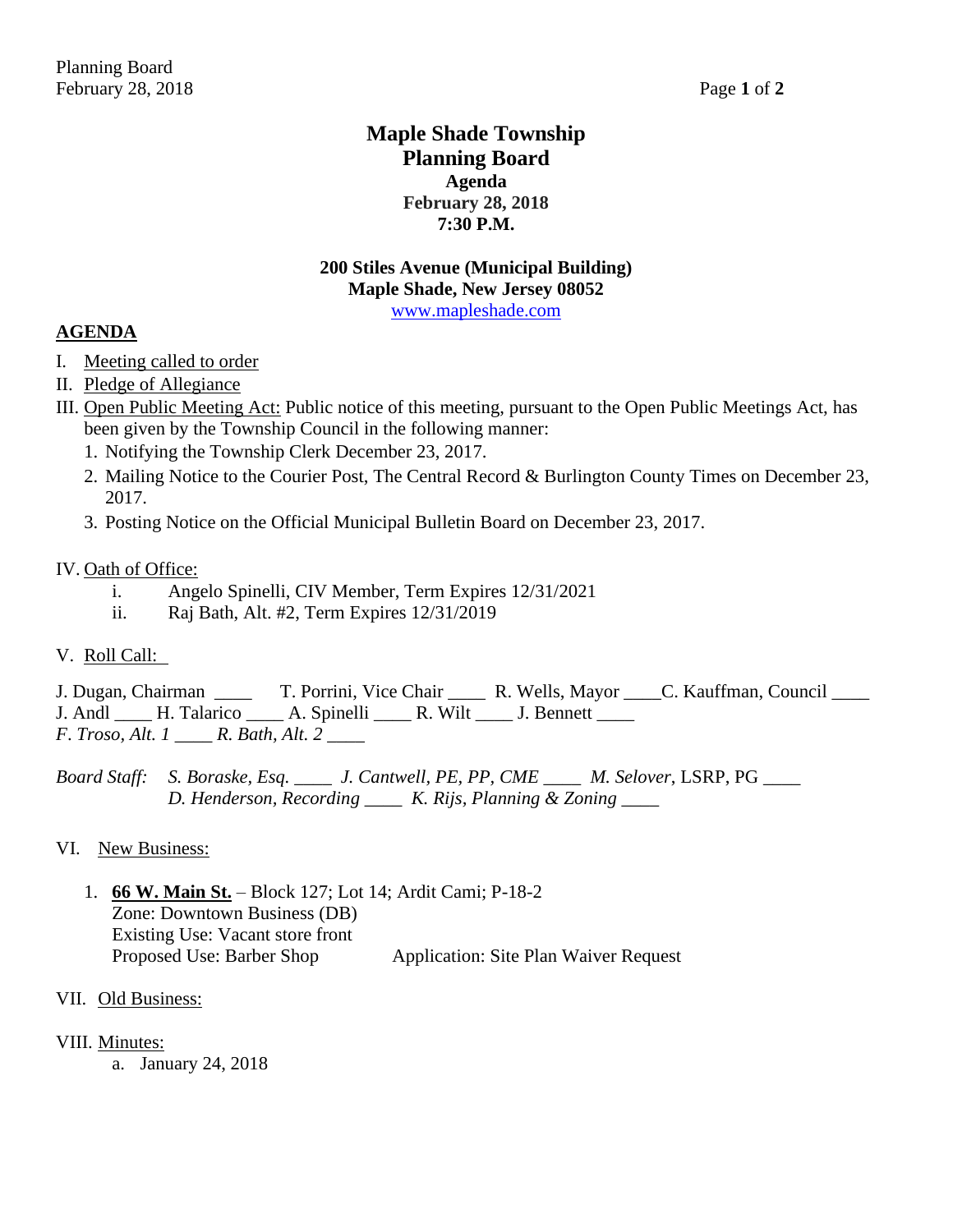## **Maple Shade Township Planning Board Agenda February 28, 2018 7:30 P.M.**

## **200 Stiles Avenue (Municipal Building) Maple Shade, New Jersey 08052** [www.mapleshade.com](http://www.mapleshade.com/)

## **AGENDA**

- I. Meeting called to order
- II. Pledge of Allegiance
- III. Open Public Meeting Act: Public notice of this meeting, pursuant to the Open Public Meetings Act, has been given by the Township Council in the following manner:
	- 1. Notifying the Township Clerk December 23, 2017.
	- 2. Mailing Notice to the Courier Post, The Central Record & Burlington County Times on December 23, 2017.
	- 3. Posting Notice on the Official Municipal Bulletin Board on December 23, 2017.

#### IV. Oath of Office:

- i. Angelo Spinelli, CIV Member, Term Expires 12/31/2021
- ii. Raj Bath, Alt. #2, Term Expires 12/31/2019

## V. Roll Call:

J. Dugan, Chairman \_\_\_\_ T. Porrini, Vice Chair \_\_\_\_ R. Wells, Mayor \_\_\_\_C. Kauffman, Council \_\_\_\_ J. Andl \_\_\_\_ H. Talarico \_\_\_\_ A. Spinelli \_\_\_\_ R. Wilt \_\_\_\_ J. Bennett \_\_\_\_ *F*. *Troso, Alt. 1 \_\_\_\_ R. Bath, Alt. 2 \_\_\_\_*

*Board Staff: S. Boraske, Esq. \_\_\_\_ J. Cantwell, PE, PP, CME \_\_\_\_ M. Selover*, LSRP, PG *\_\_\_\_ D. Henderson, Recording \_\_\_\_ K. Rijs, Planning & Zoning \_\_\_\_*

#### VI. New Business:

1. **66 W. Main St.** – Block 127; Lot 14; Ardit Cami; P-18-2 Zone: Downtown Business (DB) Existing Use: Vacant store front Proposed Use: Barber Shop Application: Site Plan Waiver Request

#### VII. Old Business:

#### VIII. Minutes:

a. January 24, 2018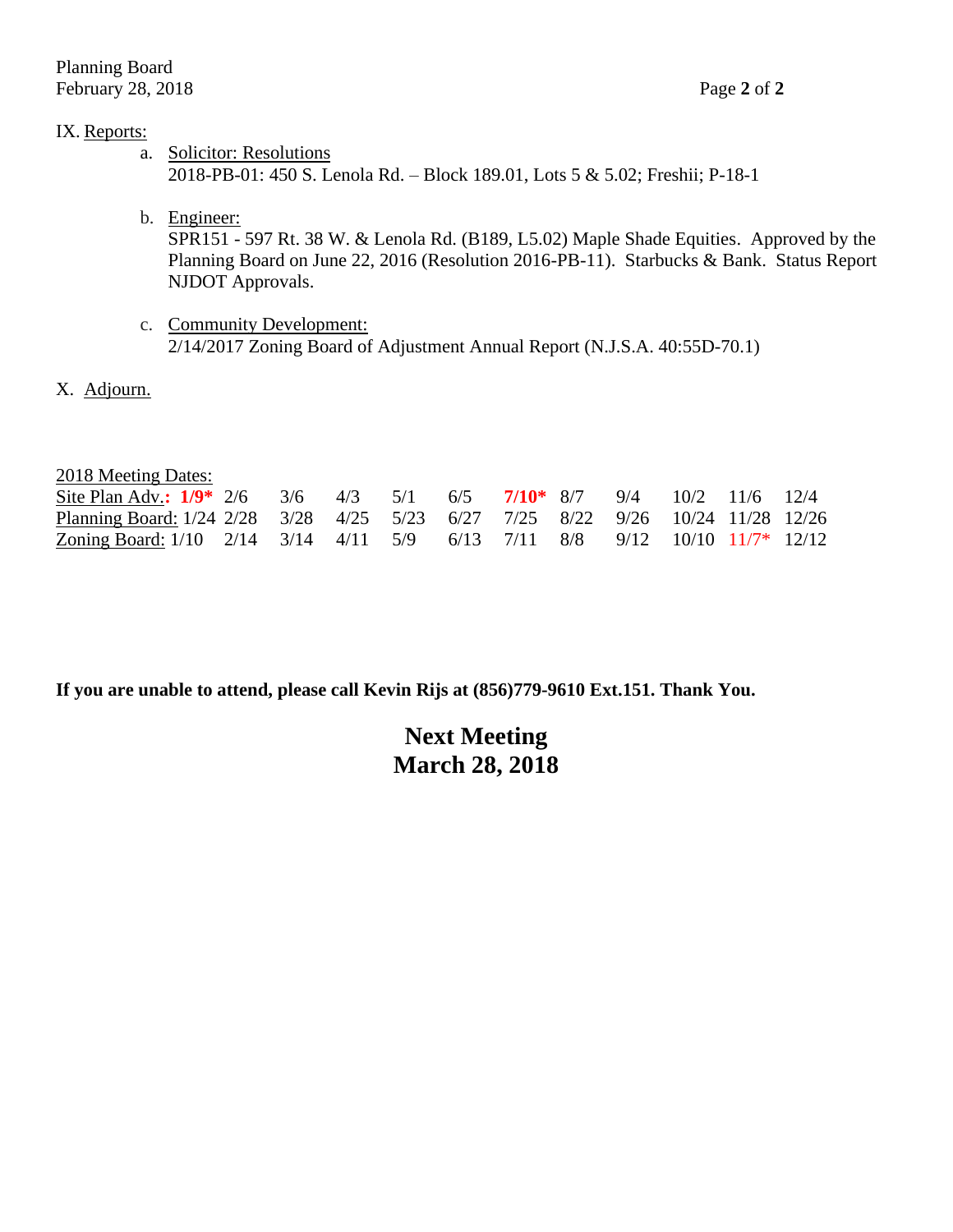### IX. Reports:

- a. Solicitor: Resolutions 2018-PB-01: 450 S. Lenola Rd. – Block 189.01, Lots 5 & 5.02; Freshii; P-18-1
- b. Engineer: SPR151 - 597 Rt. 38 W. & Lenola Rd. (B189, L5.02) Maple Shade Equities. Approved by the Planning Board on June 22, 2016 (Resolution 2016-PB-11). Starbucks & Bank. Status Report NJDOT Approvals.
- c. Community Development: 2/14/2017 Zoning Board of Adjustment Annual Report (N.J.S.A. 40:55D-70.1)
- X. Adjourn.

| 2018 Meeting Dates: |  |
|---------------------|--|
|---------------------|--|

| Site Plan Adv.: $1/9$ $2/6$ $3/6$ $4/3$ $5/1$ $6/5$ $7/10$ $8/7$ $9/4$ $10/2$ $11/6$ $12/4$ |  |  |  |  |  |  |
|---------------------------------------------------------------------------------------------|--|--|--|--|--|--|
| Planning Board: 1/24 2/28 3/28 4/25 5/23 6/27 7/25 8/22 9/26 10/24 11/28 12/26              |  |  |  |  |  |  |
| Zoning Board: 1/10 2/14 3/14 4/11 5/9 6/13 7/11 8/8 9/12 10/10 11/7* 12/12                  |  |  |  |  |  |  |

**If you are unable to attend, please call Kevin Rijs at (856)779-9610 Ext.151. Thank You.**

# **Next Meeting March 28, 2018**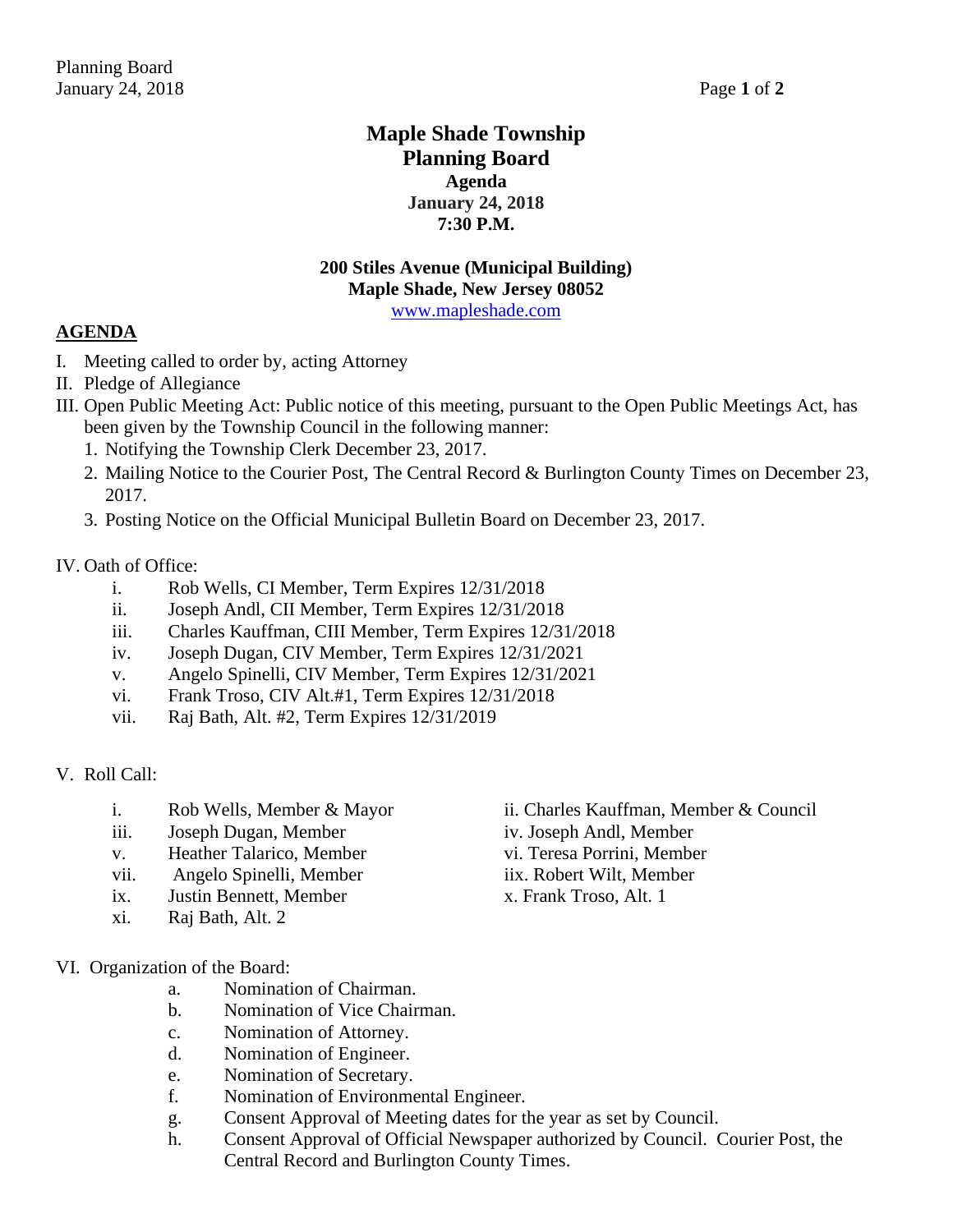## **Maple Shade Township Planning Board Agenda January 24, 2018 7:30 P.M.**

## **200 Stiles Avenue (Municipal Building) Maple Shade, New Jersey 08052**

[www.mapleshade.com](http://www.mapleshade.com/)

## **AGENDA**

- I. Meeting called to order by, acting Attorney
- II. Pledge of Allegiance
- III. Open Public Meeting Act: Public notice of this meeting, pursuant to the Open Public Meetings Act, has been given by the Township Council in the following manner:
	- 1. Notifying the Township Clerk December 23, 2017.
	- 2. Mailing Notice to the Courier Post, The Central Record & Burlington County Times on December 23, 2017.
	- 3. Posting Notice on the Official Municipal Bulletin Board on December 23, 2017.

## IV. Oath of Office:

- i. Rob Wells, CI Member, Term Expires 12/31/2018
- ii. Joseph Andl, CII Member, Term Expires 12/31/2018
- iii. Charles Kauffman, CIII Member, Term Expires 12/31/2018
- iv. Joseph Dugan, CIV Member, Term Expires 12/31/2021
- v. Angelo Spinelli, CIV Member, Term Expires 12/31/2021
- vi. Frank Troso, CIV Alt.#1, Term Expires 12/31/2018
- vii. Raj Bath, Alt. #2, Term Expires 12/31/2019
- V. Roll Call:
	-
	- iii. Joseph Dugan, Member iv. Joseph Andl, Member
	- v. Heather Talarico, Member vi. Teresa Porrini, Member
	- vii. Angelo Spinelli, Member iix. Robert Wilt, Member
	- ix. Justin Bennett, Member x. Frank Troso, Alt. 1
	- xi. Raj Bath, Alt. 2
- VI. Organization of the Board:
	- a. Nomination of Chairman.
	- b. Nomination of Vice Chairman.
	- c. Nomination of Attorney.
	- d. Nomination of Engineer.
	- e. Nomination of Secretary.
	- f. Nomination of Environmental Engineer.
	- g. Consent Approval of Meeting dates for the year as set by Council.
	- h. Consent Approval of Official Newspaper authorized by Council. Courier Post, the Central Record and Burlington County Times.
- i. Rob Wells, Member & Mayor ii. Charles Kauffman, Member & Council
	-
	-
	-
	-